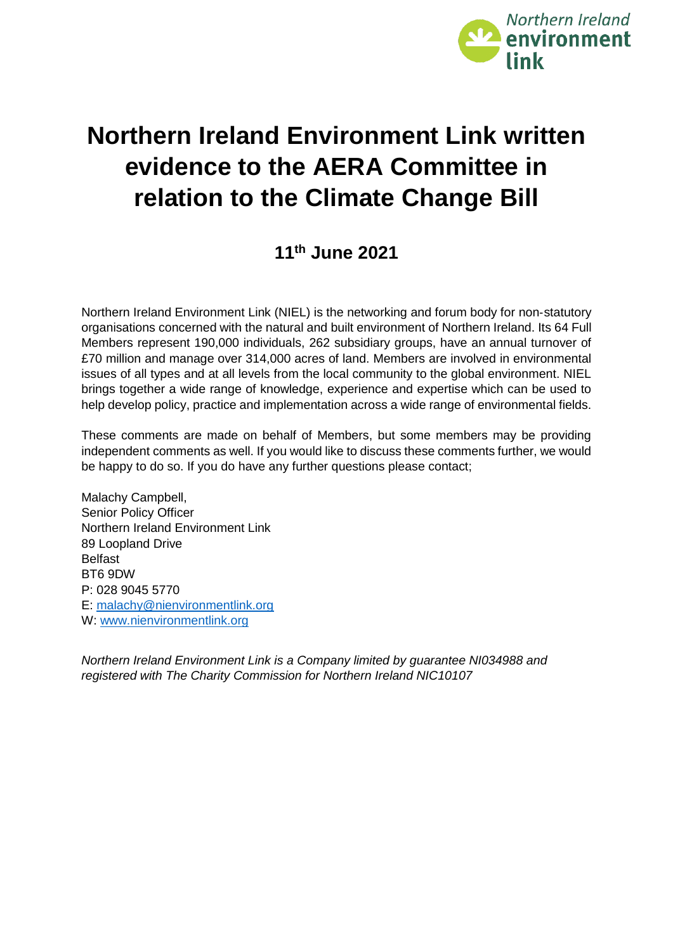

# **Northern Ireland Environment Link written evidence to the AERA Committee in relation to the Climate Change Bill**

# **11th June 2021**

Northern Ireland Environment Link (NIEL) is the networking and forum body for non‐statutory organisations concerned with the natural and built environment of Northern Ireland. Its 64 Full Members represent 190,000 individuals, 262 subsidiary groups, have an annual turnover of £70 million and manage over 314,000 acres of land. Members are involved in environmental issues of all types and at all levels from the local community to the global environment. NIEL brings together a wide range of knowledge, experience and expertise which can be used to help develop policy, practice and implementation across a wide range of environmental fields.

These comments are made on behalf of Members, but some members may be providing independent comments as well. If you would like to discuss these comments further, we would be happy to do so. If you do have any further questions please contact;

Malachy Campbell, Senior Policy Officer Northern Ireland Environment Link 89 Loopland Drive Belfast BT6 9DW P: 028 9045 5770 E: [malachy@nienvironmentlink.org](mailto:malachy@nienvironmentlink.org) W: [www.nienvironmentlink.org](http://www.nienvironmentlink.org/)

*Northern Ireland Environment Link is a Company limited by guarantee NI034988 and registered with The Charity Commission for Northern Ireland NIC10107*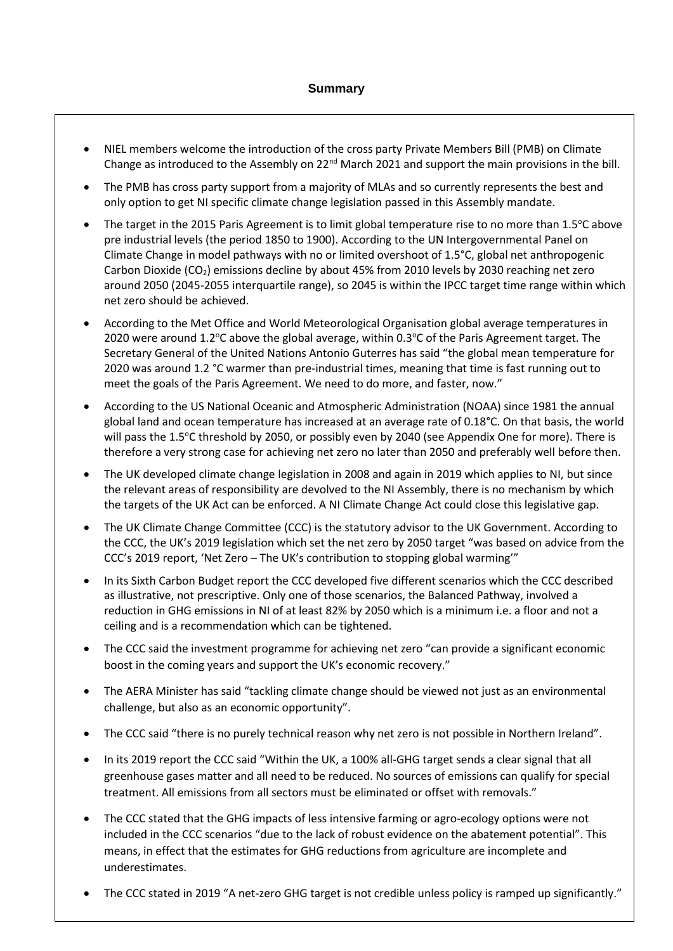- NIEL members welcome the introduction of the cross party Private Members Bill (PMB) on Climate Change as introduced to the Assembly on  $22<sup>nd</sup>$  March 2021 and support the main provisions in the bill.
- The PMB has cross party support from a majority of MLAs and so currently represents the best and only option to get NI specific climate change legislation passed in this Assembly mandate.
- The target in the 2015 Paris Agreement is to limit global temperature rise to no more than 1.5°C above pre industrial levels (the period 1850 to 1900). According to the UN Intergovernmental Panel on Climate Change in model pathways with no or limited overshoot of 1.5°C, global net anthropogenic Carbon Dioxide (CO<sub>2</sub>) emissions decline by about 45% from 2010 levels by 2030 reaching net zero around 2050 (2045-2055 interquartile range), so 2045 is within the IPCC target time range within which net zero should be achieved.
- According to the Met Office and World Meteorological Organisation global average temperatures in 2020 were around 1.2°C above the global average, within  $0.3$ °C of the Paris Agreement target. The Secretary General of the United Nations Antonio Guterres has said "the global mean temperature for 2020 was around 1.2 °C warmer than pre-industrial times, meaning that time is fast running out to meet the goals of the Paris Agreement. We need to do more, and faster, now."
- According to the US National Oceanic and Atmospheric Administration (NOAA) since 1981 the annual global land and ocean temperature has increased at an average rate of 0.18°C. On that basis, the world will pass the 1.5°C threshold by 2050, or possibly even by 2040 (see Appendix One for more). There is therefore a very strong case for achieving net zero no later than 2050 and preferably well before then.
- The UK developed climate change legislation in 2008 and again in 2019 which applies to NI, but since the relevant areas of responsibility are devolved to the NI Assembly, there is no mechanism by which the targets of the UK Act can be enforced. A NI Climate Change Act could close this legislative gap.
- The UK Climate Change Committee (CCC) is the statutory advisor to the UK Government. According to the CCC, the UK's 2019 legislation which set the net zero by 2050 target "was based on advice from the CCC's 2019 report, 'Net Zero – The UK's contribution to stopping global warming'"
- In its Sixth Carbon Budget report the CCC developed five different scenarios which the CCC described as illustrative, not prescriptive. Only one of those scenarios, the Balanced Pathway, involved a reduction in GHG emissions in NI of at least 82% by 2050 which is a minimum i.e. a floor and not a ceiling and is a recommendation which can be tightened.
- The CCC said the investment programme for achieving net zero "can provide a significant economic boost in the coming years and support the UK's economic recovery."
- The AERA Minister has said "tackling climate change should be viewed not just as an environmental challenge, but also as an economic opportunity".
- The CCC said "there is no purely technical reason why net zero is not possible in Northern Ireland".
- In its 2019 report the CCC said "Within the UK, a 100% all-GHG target sends a clear signal that all greenhouse gases matter and all need to be reduced. No sources of emissions can qualify for special treatment. All emissions from all sectors must be eliminated or offset with removals."
- The CCC stated that the GHG impacts of less intensive farming or agro-ecology options were not included in the CCC scenarios "due to the lack of robust evidence on the abatement potential". This means, in effect that the estimates for GHG reductions from agriculture are incomplete and underestimates.
- The CCC stated in 2019 "A net-zero GHG target is not credible unless policy is ramped up significantly."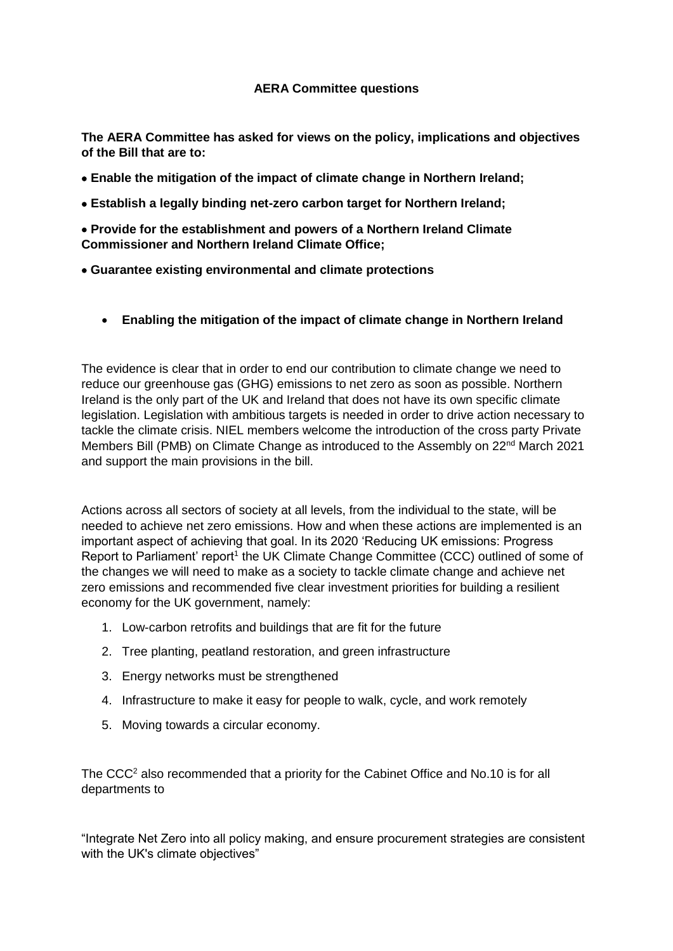**The AERA Committee has asked for views on the policy, implications and objectives of the Bill that are to:** 

- **Enable the mitigation of the impact of climate change in Northern Ireland;**
- **Establish a legally binding net-zero carbon target for Northern Ireland;**

 **Provide for the establishment and powers of a Northern Ireland Climate Commissioner and Northern Ireland Climate Office;** 

- **Guarantee existing environmental and climate protections**
	- **Enabling the mitigation of the impact of climate change in Northern Ireland**

The evidence is clear that in order to end our contribution to climate change we need to reduce our greenhouse gas (GHG) emissions to net zero as soon as possible. Northern Ireland is the only part of the UK and Ireland that does not have its own specific climate legislation. Legislation with ambitious targets is needed in order to drive action necessary to tackle the climate crisis. NIEL members welcome the introduction of the cross party Private Members Bill (PMB) on Climate Change as introduced to the Assembly on 22<sup>nd</sup> March 2021 and support the main provisions in the bill.

Actions across all sectors of society at all levels, from the individual to the state, will be needed to achieve net zero emissions. How and when these actions are implemented is an important aspect of achieving that goal. In its 2020 'Reducing UK emissions: Progress Report to Parliament' report<sup>1</sup> the UK Climate Change Committee (CCC) outlined of some of the changes we will need to make as a society to tackle climate change and achieve net zero emissions and recommended five clear investment priorities for building a resilient economy for the UK government, namely:

- 1. Low-carbon retrofits and buildings that are fit for the future
- 2. Tree planting, peatland restoration, and green infrastructure
- 3. Energy networks must be strengthened
- 4. Infrastructure to make it easy for people to walk, cycle, and work remotely
- 5. Moving towards a circular economy.

The CCC<sup>2</sup> also recommended that a priority for the Cabinet Office and No.10 is for all departments to

"Integrate Net Zero into all policy making, and ensure procurement strategies are consistent with the UK's climate objectives"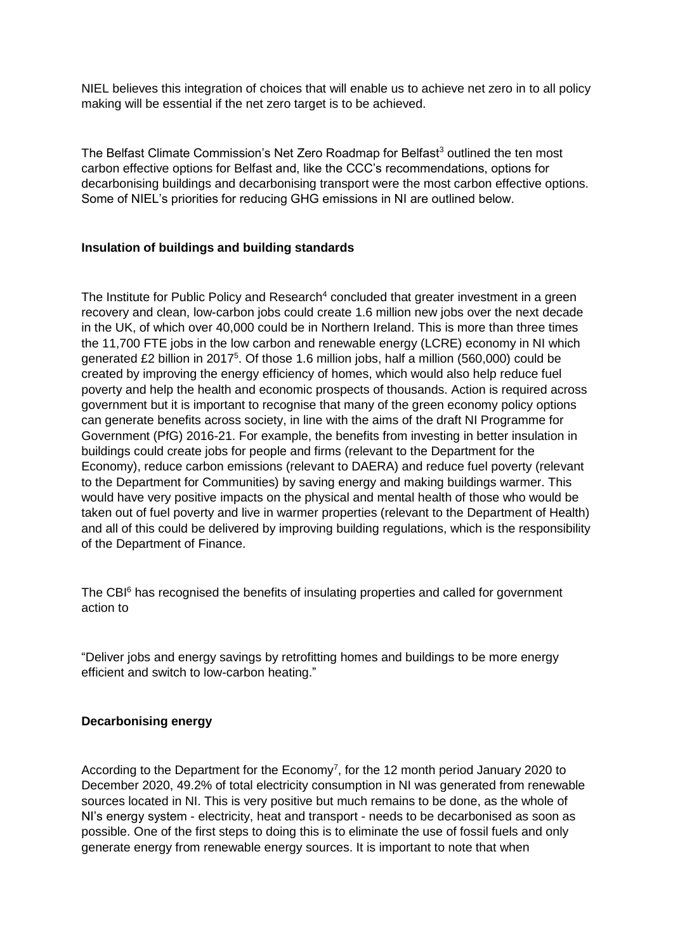NIEL believes this integration of choices that will enable us to achieve net zero in to all policy making will be essential if the net zero target is to be achieved.

The Belfast Climate Commission's Net Zero Roadmap for Belfast<sup>3</sup> outlined the ten most carbon effective options for Belfast and, like the CCC's recommendations, options for decarbonising buildings and decarbonising transport were the most carbon effective options. Some of NIEL's priorities for reducing GHG emissions in NI are outlined below.

# **Insulation of buildings and building standards**

The Institute for Public Policy and Research<sup>4</sup> concluded that greater investment in a green recovery and clean, low-carbon jobs could create 1.6 million new jobs over the next decade in the UK, of which over 40,000 could be in Northern Ireland. This is more than three times the 11,700 FTE jobs in the low carbon and renewable energy (LCRE) economy in NI which generated £2 billion in 2017<sup>5</sup>. Of those 1.6 million jobs, half a million (560,000) could be created by improving the energy efficiency of homes, which would also help reduce fuel poverty and help the health and economic prospects of thousands. Action is required across government but it is important to recognise that many of the green economy policy options can generate benefits across society, in line with the aims of the draft NI Programme for Government (PfG) 2016-21. For example, the benefits from investing in better insulation in buildings could create jobs for people and firms (relevant to the Department for the Economy), reduce carbon emissions (relevant to DAERA) and reduce fuel poverty (relevant to the Department for Communities) by saving energy and making buildings warmer. This would have very positive impacts on the physical and mental health of those who would be taken out of fuel poverty and live in warmer properties (relevant to the Department of Health) and all of this could be delivered by improving building regulations, which is the responsibility of the Department of Finance.

The CBI<sup>6</sup> has recognised the benefits of insulating properties and called for government action to

"Deliver jobs and energy savings by retrofitting homes and buildings to be more energy efficient and switch to low-carbon heating."

# **Decarbonising energy**

According to the Department for the Economy<sup>7</sup>, for the 12 month period January 2020 to December 2020, 49.2% of total electricity consumption in NI was generated from renewable sources located in NI. This is very positive but much remains to be done, as the whole of NI's energy system - electricity, heat and transport - needs to be decarbonised as soon as possible. One of the first steps to doing this is to eliminate the use of fossil fuels and only generate energy from renewable energy sources. It is important to note that when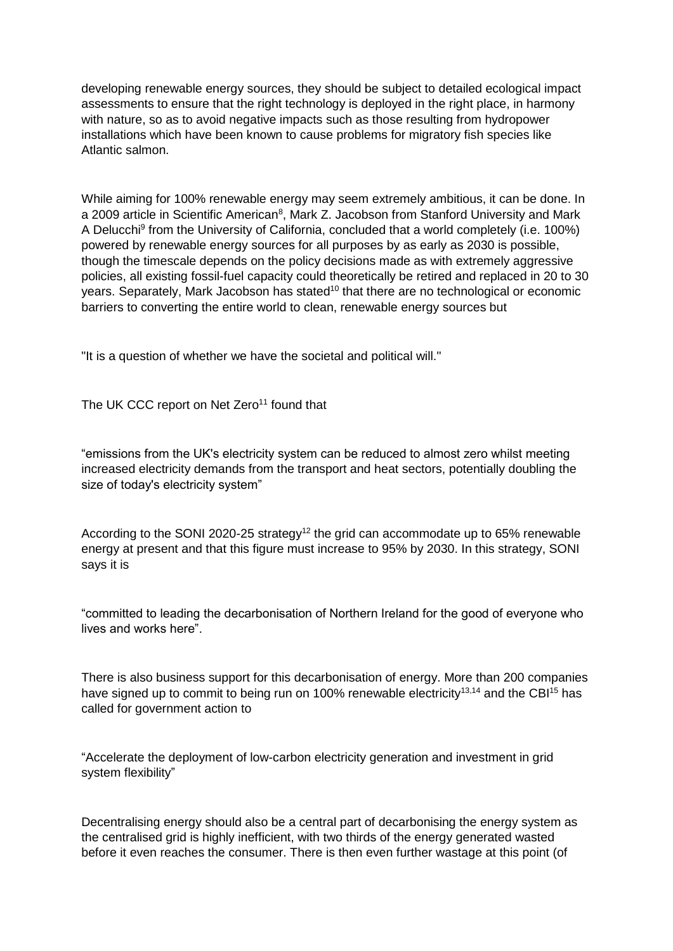developing renewable energy sources, they should be subject to detailed ecological impact assessments to ensure that the right technology is deployed in the right place, in harmony with nature, so as to avoid negative impacts such as those resulting from hydropower installations which have been known to cause problems for migratory fish species like Atlantic salmon.

While aiming for 100% renewable energy may seem extremely ambitious, it can be done. In a 2009 article in Scientific American<sup>8</sup>, Mark Z. Jacobson from Stanford University and Mark A Delucchi<sup>9</sup> from the University of California, concluded that a world completely (i.e. 100%) powered by renewable energy sources for all purposes by as early as 2030 is possible, though the timescale depends on the policy decisions made as with extremely aggressive policies, all existing fossil-fuel capacity could theoretically be retired and replaced in 20 to 30 years. Separately, Mark Jacobson has stated<sup>10</sup> that there are no technological or economic barriers to converting the entire world to clean, renewable energy sources but

"It is a question of whether we have the societal and political will."

The UK CCC report on Net Zero<sup>11</sup> found that

"emissions from the UK's electricity system can be reduced to almost zero whilst meeting increased electricity demands from the transport and heat sectors, potentially doubling the size of today's electricity system"

According to the SONI 2020-25 strategy<sup>12</sup> the grid can accommodate up to 65% renewable energy at present and that this figure must increase to 95% by 2030. In this strategy, SONI says it is

"committed to leading the decarbonisation of Northern Ireland for the good of everyone who lives and works here".

There is also business support for this decarbonisation of energy. More than 200 companies have signed up to commit to being run on 100% renewable electricity<sup>13,14</sup> and the CBI<sup>15</sup> has called for government action to

"Accelerate the deployment of low-carbon electricity generation and investment in grid system flexibility"

Decentralising energy should also be a central part of decarbonising the energy system as the centralised grid is highly inefficient, with two thirds of the energy generated wasted before it even reaches the consumer. There is then even further wastage at this point (of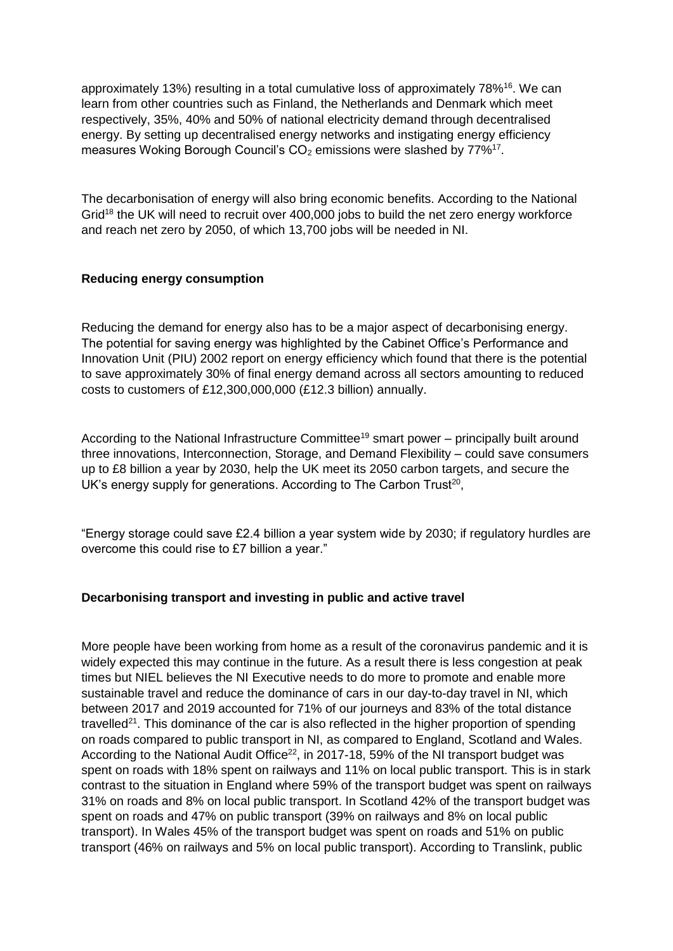approximately 13%) resulting in a total cumulative loss of approximately 78%<sup>16</sup>. We can learn from other countries such as Finland, the Netherlands and Denmark which meet respectively, 35%, 40% and 50% of national electricity demand through decentralised energy. By setting up decentralised energy networks and instigating energy efficiency measures Woking Borough Council's  $CO<sub>2</sub>$  emissions were slashed by  $77\%^{17}$ .

The decarbonisation of energy will also bring economic benefits. According to the National Grid<sup>18</sup> the UK will need to recruit over 400,000 jobs to build the net zero energy workforce and reach net zero by 2050, of which 13,700 jobs will be needed in NI.

# **Reducing energy consumption**

Reducing the demand for energy also has to be a major aspect of decarbonising energy. The potential for saving energy was highlighted by the Cabinet Office's Performance and Innovation Unit (PIU) 2002 report on energy efficiency which found that there is the potential to save approximately 30% of final energy demand across all sectors amounting to reduced costs to customers of £12,300,000,000 (£12.3 billion) annually.

According to the National Infrastructure Committee<sup>19</sup> smart power – principally built around three innovations, Interconnection, Storage, and Demand Flexibility – could save consumers up to £8 billion a year by 2030, help the UK meet its 2050 carbon targets, and secure the UK's energy supply for generations. According to The Carbon Trust<sup>20</sup>,

"Energy storage could save £2.4 billion a year system wide by 2030; if regulatory hurdles are overcome this could rise to £7 billion a year."

# **Decarbonising transport and investing in public and active travel**

More people have been working from home as a result of the coronavirus pandemic and it is widely expected this may continue in the future. As a result there is less congestion at peak times but NIEL believes the NI Executive needs to do more to promote and enable more sustainable travel and reduce the dominance of cars in our day-to-day travel in NI, which between 2017 and 2019 accounted for 71% of our journeys and 83% of the total distance travelled<sup>21</sup>. This dominance of the car is also reflected in the higher proportion of spending on roads compared to public transport in NI, as compared to England, Scotland and Wales. According to the National Audit Office<sup>22</sup>, in 2017-18, 59% of the NI transport budget was spent on roads with 18% spent on railways and 11% on local public transport. This is in stark contrast to the situation in England where 59% of the transport budget was spent on railways 31% on roads and 8% on local public transport. In Scotland 42% of the transport budget was spent on roads and 47% on public transport (39% on railways and 8% on local public transport). In Wales 45% of the transport budget was spent on roads and 51% on public transport (46% on railways and 5% on local public transport). According to Translink, public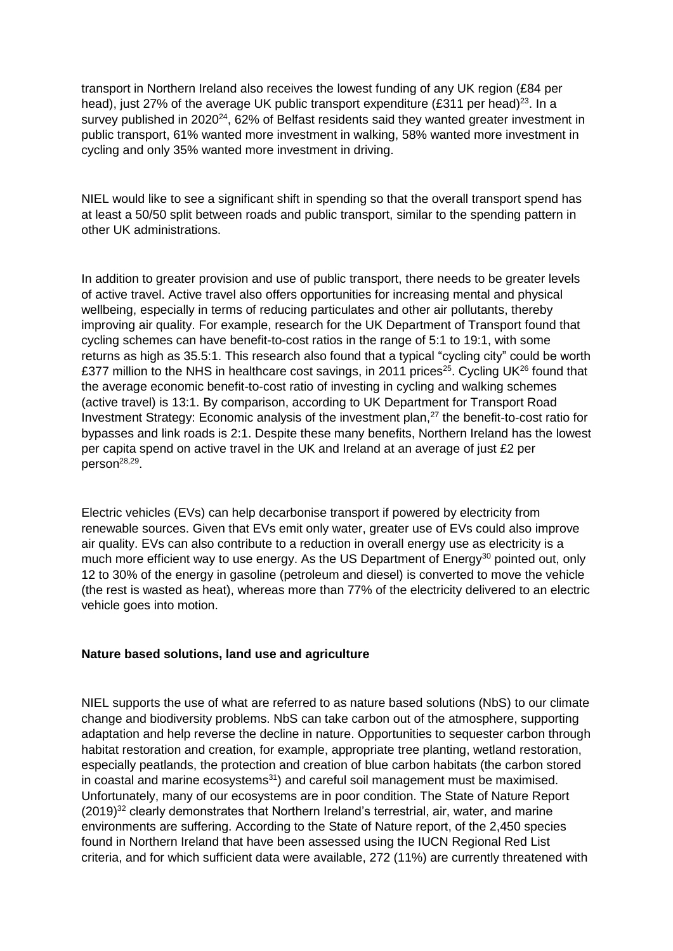transport in Northern Ireland also receives the lowest funding of any UK region (£84 per head), just 27% of the average UK public transport expenditure (£311 per head)<sup>23</sup>. In a survey published in 2020<sup>24</sup>, 62% of Belfast residents said they wanted greater investment in public transport, 61% wanted more investment in walking, 58% wanted more investment in cycling and only 35% wanted more investment in driving.

NIEL would like to see a significant shift in spending so that the overall transport spend has at least a 50/50 split between roads and public transport, similar to the spending pattern in other UK administrations.

In addition to greater provision and use of public transport, there needs to be greater levels of active travel. Active travel also offers opportunities for increasing mental and physical wellbeing, especially in terms of reducing particulates and other air pollutants, thereby improving air quality. For example, research for the UK Department of Transport found that cycling schemes can have benefit-to-cost ratios in the range of 5:1 to 19:1, with some returns as high as 35.5:1. This research also found that a typical "cycling city" could be worth £377 million to the NHS in healthcare cost savings, in 2011 prices<sup>25</sup>. Cycling UK<sup>26</sup> found that the average economic benefit-to-cost ratio of investing in cycling and walking schemes (active travel) is 13:1. By comparison, according to UK Department for Transport Road Investment Strategy: Economic analysis of the investment plan,<sup>27</sup> the benefit-to-cost ratio for bypasses and link roads is 2:1. Despite these many benefits, Northern Ireland has the lowest per capita spend on active travel in the UK and Ireland at an average of just £2 per person<sup>28,29</sup>.

Electric vehicles (EVs) can help decarbonise transport if powered by electricity from renewable sources. Given that EVs emit only water, greater use of EVs could also improve air quality. EVs can also contribute to a reduction in overall energy use as electricity is a much more efficient way to use energy. As the US Department of Energy<sup>30</sup> pointed out, only 12 to 30% of the energy in gasoline (petroleum and diesel) is converted to move the vehicle (the rest is wasted as heat), whereas more than 77% of the electricity delivered to an electric vehicle goes into motion.

#### **Nature based solutions, land use and agriculture**

NIEL supports the use of what are referred to as nature based solutions (NbS) to our climate change and biodiversity problems. NbS can take carbon out of the atmosphere, supporting adaptation and help reverse the decline in nature. Opportunities to sequester carbon through habitat restoration and creation, for example, appropriate tree planting, wetland restoration, especially peatlands, the protection and creation of blue carbon habitats (the carbon stored in coastal and marine ecosystems<sup>31</sup>) and careful soil management must be maximised. Unfortunately, many of our ecosystems are in poor condition. The State of Nature Report (2019)<sup>32</sup> clearly demonstrates that Northern Ireland's terrestrial, air, water, and marine environments are suffering. According to the State of Nature report, of the 2,450 species found in Northern Ireland that have been assessed using the IUCN Regional Red List criteria, and for which sufficient data were available, 272 (11%) are currently threatened with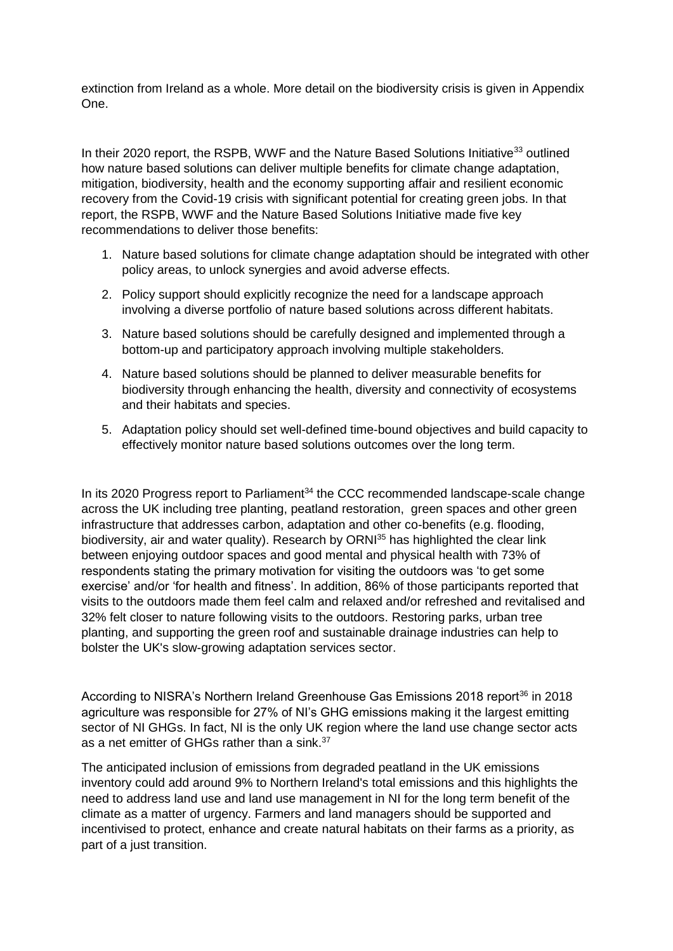extinction from Ireland as a whole. More detail on the biodiversity crisis is given in Appendix One.

In their 2020 report, the RSPB, WWF and the Nature Based Solutions Initiative<sup>33</sup> outlined how nature based solutions can deliver multiple benefits for climate change adaptation, mitigation, biodiversity, health and the economy supporting affair and resilient economic recovery from the Covid-19 crisis with significant potential for creating green jobs. In that report, the RSPB, WWF and the Nature Based Solutions Initiative made five key recommendations to deliver those benefits:

- 1. Nature based solutions for climate change adaptation should be integrated with other policy areas, to unlock synergies and avoid adverse effects.
- 2. Policy support should explicitly recognize the need for a landscape approach involving a diverse portfolio of nature based solutions across different habitats.
- 3. Nature based solutions should be carefully designed and implemented through a bottom-up and participatory approach involving multiple stakeholders.
- 4. Nature based solutions should be planned to deliver measurable benefits for biodiversity through enhancing the health, diversity and connectivity of ecosystems and their habitats and species.
- 5. Adaptation policy should set well-defined time-bound objectives and build capacity to effectively monitor nature based solutions outcomes over the long term.

In its 2020 Progress report to Parliament $34$  the CCC recommended landscape-scale change across the UK including tree planting, peatland restoration, green spaces and other green infrastructure that addresses carbon, adaptation and other co-benefits (e.g. flooding, biodiversity, air and water quality). Research by ORNI<sup>35</sup> has highlighted the clear link between enjoying outdoor spaces and good mental and physical health with 73% of respondents stating the primary motivation for visiting the outdoors was 'to get some exercise' and/or 'for health and fitness'. In addition, 86% of those participants reported that visits to the outdoors made them feel calm and relaxed and/or refreshed and revitalised and 32% felt closer to nature following visits to the outdoors. Restoring parks, urban tree planting, and supporting the green roof and sustainable drainage industries can help to bolster the UK's slow-growing adaptation services sector.

According to NISRA's Northern Ireland Greenhouse Gas Emissions 2018 report<sup>36</sup> in 2018 agriculture was responsible for 27% of NI's GHG emissions making it the largest emitting sector of NI GHGs. In fact, NI is the only UK region where the land use change sector acts as a net emitter of GHGs rather than a sink.<sup>37</sup>

The anticipated inclusion of emissions from degraded peatland in the UK emissions inventory could add around 9% to Northern Ireland's total emissions and this highlights the need to address land use and land use management in NI for the long term benefit of the climate as a matter of urgency. Farmers and land managers should be supported and incentivised to protect, enhance and create natural habitats on their farms as a priority, as part of a just transition.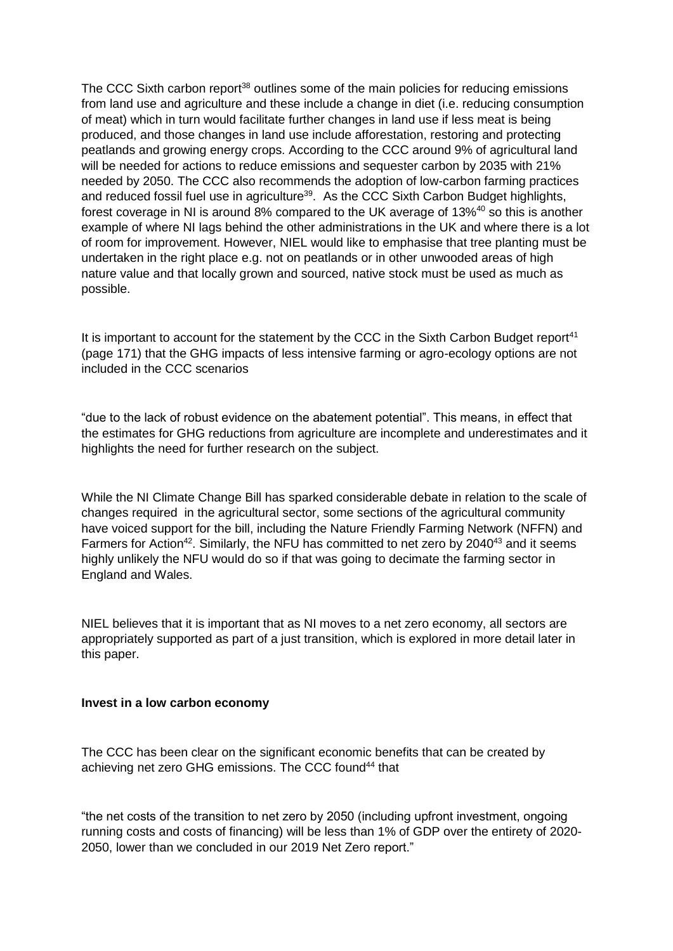The CCC Sixth carbon report<sup>38</sup> outlines some of the main policies for reducing emissions from land use and agriculture and these include a change in diet (i.e. reducing consumption of meat) which in turn would facilitate further changes in land use if less meat is being produced, and those changes in land use include afforestation, restoring and protecting peatlands and growing energy crops. According to the CCC around 9% of agricultural land will be needed for actions to reduce emissions and sequester carbon by 2035 with 21% needed by 2050. The CCC also recommends the adoption of low-carbon farming practices and reduced fossil fuel use in agriculture<sup>39</sup>. As the CCC Sixth Carbon Budget highlights, forest coverage in NI is around 8% compared to the UK average of 13%<sup>40</sup> so this is another example of where NI lags behind the other administrations in the UK and where there is a lot of room for improvement. However, NIEL would like to emphasise that tree planting must be undertaken in the right place e.g. not on peatlands or in other unwooded areas of high nature value and that locally grown and sourced, native stock must be used as much as possible.

It is important to account for the statement by the CCC in the Sixth Carbon Budget report<sup>41</sup> (page 171) that the GHG impacts of less intensive farming or agro-ecology options are not included in the CCC scenarios

"due to the lack of robust evidence on the abatement potential". This means, in effect that the estimates for GHG reductions from agriculture are incomplete and underestimates and it highlights the need for further research on the subject.

While the NI Climate Change Bill has sparked considerable debate in relation to the scale of changes required in the agricultural sector, some sections of the agricultural community have voiced support for the bill, including the Nature Friendly Farming Network (NFFN) and Farmers for Action<sup>42</sup>. Similarly, the NFU has committed to net zero by 2040<sup>43</sup> and it seems highly unlikely the NFU would do so if that was going to decimate the farming sector in England and Wales.

NIEL believes that it is important that as NI moves to a net zero economy, all sectors are appropriately supported as part of a just transition, which is explored in more detail later in this paper.

#### **Invest in a low carbon economy**

The CCC has been clear on the significant economic benefits that can be created by achieving net zero GHG emissions. The CCC found<sup>44</sup> that

"the net costs of the transition to net zero by 2050 (including upfront investment, ongoing running costs and costs of financing) will be less than 1% of GDP over the entirety of 2020- 2050, lower than we concluded in our 2019 Net Zero report."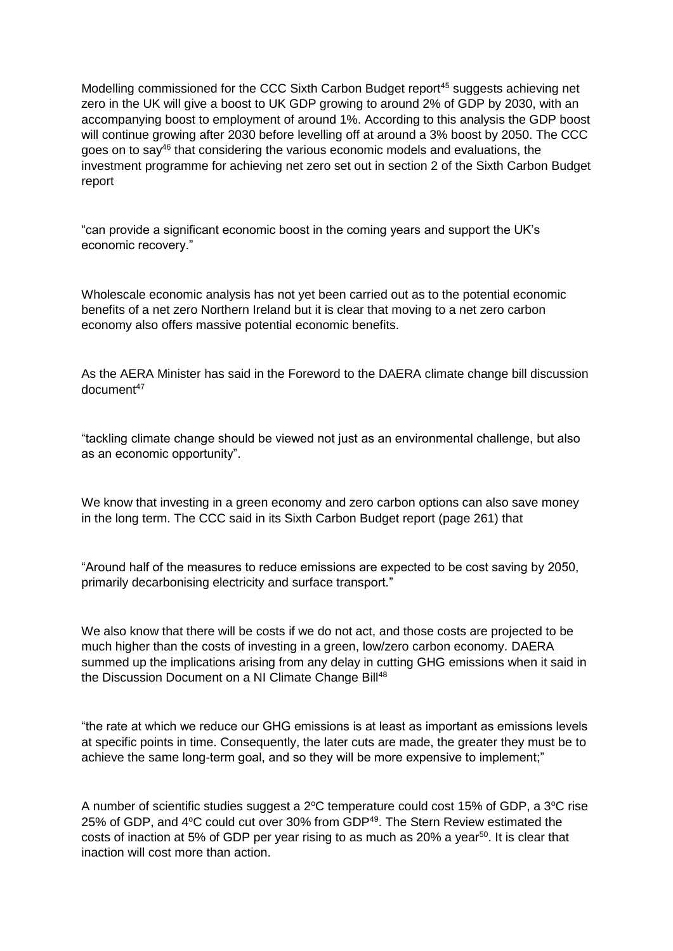Modelling commissioned for the CCC Sixth Carbon Budget report<sup>45</sup> suggests achieving net zero in the UK will give a boost to UK GDP growing to around 2% of GDP by 2030, with an accompanying boost to employment of around 1%. According to this analysis the GDP boost will continue growing after 2030 before levelling off at around a 3% boost by 2050. The CCC goes on to say $46$  that considering the various economic models and evaluations, the investment programme for achieving net zero set out in section 2 of the Sixth Carbon Budget report

"can provide a significant economic boost in the coming years and support the UK's economic recovery."

Wholescale economic analysis has not yet been carried out as to the potential economic benefits of a net zero Northern Ireland but it is clear that moving to a net zero carbon economy also offers massive potential economic benefits.

As the AERA Minister has said in the Foreword to the DAERA climate change bill discussion document<sup>47</sup>

"tackling climate change should be viewed not just as an environmental challenge, but also as an economic opportunity".

We know that investing in a green economy and zero carbon options can also save money in the long term. The CCC said in its Sixth Carbon Budget report (page 261) that

"Around half of the measures to reduce emissions are expected to be cost saving by 2050, primarily decarbonising electricity and surface transport."

We also know that there will be costs if we do not act, and those costs are projected to be much higher than the costs of investing in a green, low/zero carbon economy. DAERA summed up the implications arising from any delay in cutting GHG emissions when it said in the Discussion Document on a NI Climate Change Bill<sup>48</sup>

"the rate at which we reduce our GHG emissions is at least as important as emissions levels at specific points in time. Consequently, the later cuts are made, the greater they must be to achieve the same long-term goal, and so they will be more expensive to implement;"

A number of scientific studies suggest a  $2^{\circ}$ C temperature could cost 15% of GDP, a  $3^{\circ}$ C rise 25% of GDP, and 4°C could cut over 30% from GDP<sup>49</sup>. The Stern Review estimated the costs of inaction at 5% of GDP per year rising to as much as 20% a year $50$ . It is clear that inaction will cost more than action.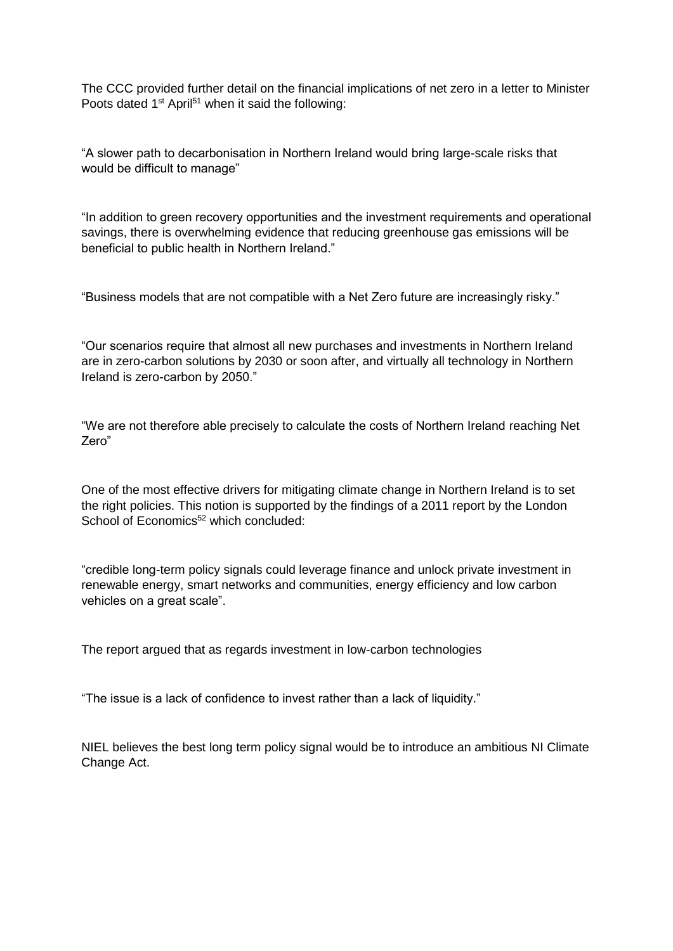The CCC provided further detail on the financial implications of net zero in a letter to Minister Poots dated 1<sup>st</sup> April<sup>51</sup> when it said the following:

"A slower path to decarbonisation in Northern Ireland would bring large-scale risks that would be difficult to manage"

"In addition to green recovery opportunities and the investment requirements and operational savings, there is overwhelming evidence that reducing greenhouse gas emissions will be beneficial to public health in Northern Ireland."

"Business models that are not compatible with a Net Zero future are increasingly risky."

"Our scenarios require that almost all new purchases and investments in Northern Ireland are in zero-carbon solutions by 2030 or soon after, and virtually all technology in Northern Ireland is zero-carbon by 2050."

"We are not therefore able precisely to calculate the costs of Northern Ireland reaching Net Zero"

One of the most effective drivers for mitigating climate change in Northern Ireland is to set the right policies. This notion is supported by the findings of a 2011 report by the London School of Economics<sup>52</sup> which concluded:

"credible long-term policy signals could leverage finance and unlock private investment in renewable energy, smart networks and communities, energy efficiency and low carbon vehicles on a great scale".

The report argued that as regards investment in low-carbon technologies

"The issue is a lack of confidence to invest rather than a lack of liquidity."

NIEL believes the best long term policy signal would be to introduce an ambitious NI Climate Change Act.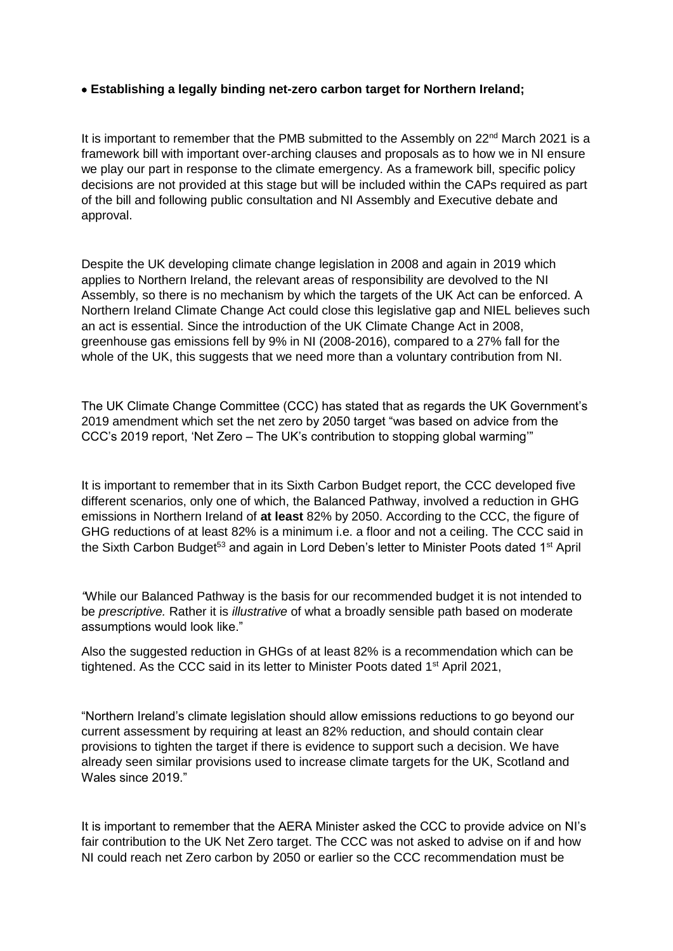# **Establishing a legally binding net-zero carbon target for Northern Ireland;**

It is important to remember that the PMB submitted to the Assembly on 22<sup>nd</sup> March 2021 is a framework bill with important over-arching clauses and proposals as to how we in NI ensure we play our part in response to the climate emergency. As a framework bill, specific policy decisions are not provided at this stage but will be included within the CAPs required as part of the bill and following public consultation and NI Assembly and Executive debate and approval.

Despite the UK developing climate change legislation in 2008 and again in 2019 which applies to Northern Ireland, the relevant areas of responsibility are devolved to the NI Assembly, so there is no mechanism by which the targets of the UK Act can be enforced. A Northern Ireland Climate Change Act could close this legislative gap and NIEL believes such an act is essential. Since the introduction of the UK Climate Change Act in 2008, greenhouse gas emissions fell by 9% in NI (2008-2016), compared to a 27% fall for the whole of the UK, this suggests that we need more than a voluntary contribution from NI.

The UK Climate Change Committee (CCC) has stated that as regards the UK Government's 2019 amendment which set the net zero by 2050 target "was based on advice from the CCC's 2019 report, 'Net Zero – The UK's contribution to stopping global warming'"

It is important to remember that in its Sixth Carbon Budget report, the CCC developed five different scenarios, only one of which, the Balanced Pathway, involved a reduction in GHG emissions in Northern Ireland of **at least** 82% by 2050. According to the CCC, the figure of GHG reductions of at least 82% is a minimum i.e. a floor and not a ceiling. The CCC said in the Sixth Carbon Budget<sup>53</sup> and again in Lord Deben's letter to Minister Poots dated 1<sup>st</sup> April

*"*While our Balanced Pathway is the basis for our recommended budget it is not intended to be *prescriptive.* Rather it is *illustrative* of what a broadly sensible path based on moderate assumptions would look like."

Also the suggested reduction in GHGs of at least 82% is a recommendation which can be tightened. As the CCC said in its letter to Minister Poots dated 1<sup>st</sup> April 2021,

"Northern Ireland's climate legislation should allow emissions reductions to go beyond our current assessment by requiring at least an 82% reduction, and should contain clear provisions to tighten the target if there is evidence to support such a decision. We have already seen similar provisions used to increase climate targets for the UK, Scotland and Wales since 2019."

It is important to remember that the AERA Minister asked the CCC to provide advice on NI's fair contribution to the UK Net Zero target. The CCC was not asked to advise on if and how NI could reach net Zero carbon by 2050 or earlier so the CCC recommendation must be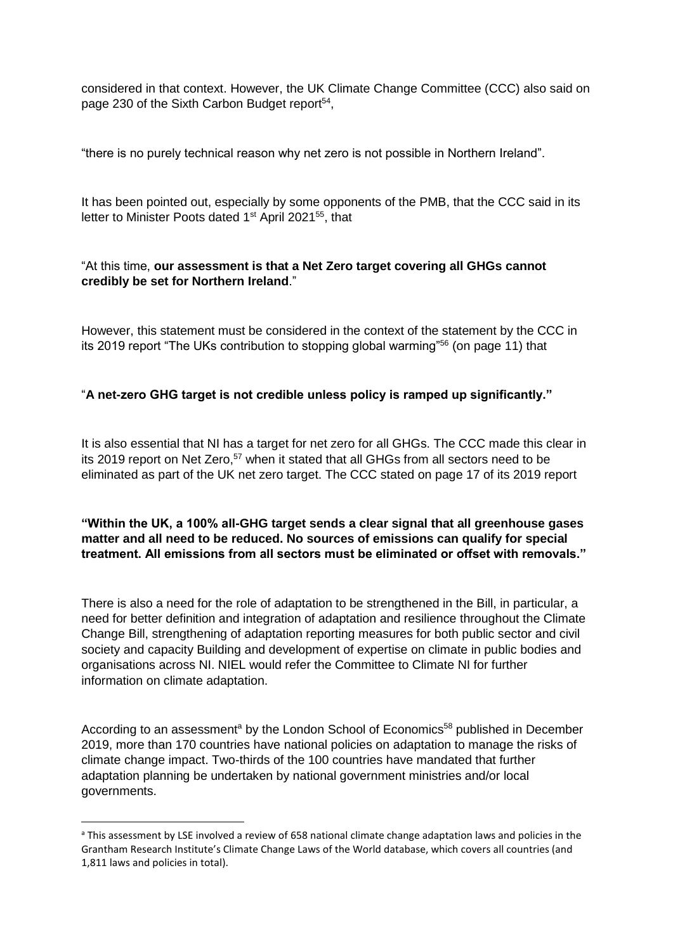considered in that context. However, the UK Climate Change Committee (CCC) also said on page 230 of the Sixth Carbon Budget report<sup>54</sup>,

"there is no purely technical reason why net zero is not possible in Northern Ireland".

It has been pointed out, especially by some opponents of the PMB, that the CCC said in its letter to Minister Poots dated 1<sup>st</sup> April 2021<sup>55</sup>, that

# "At this time, **our assessment is that a Net Zero target covering all GHGs cannot credibly be set for Northern Ireland**."

However, this statement must be considered in the context of the statement by the CCC in its 2019 report "The UKs contribution to stopping global warming"<sup>56</sup> (on page 11) that

# "**A net-zero GHG target is not credible unless policy is ramped up significantly."**

It is also essential that NI has a target for net zero for all GHGs. The CCC made this clear in its 2019 report on Net Zero,<sup>57</sup> when it stated that all GHGs from all sectors need to be eliminated as part of the UK net zero target. The CCC stated on page 17 of its 2019 report

# **"Within the UK, a 100% all-GHG target sends a clear signal that all greenhouse gases matter and all need to be reduced. No sources of emissions can qualify for special treatment. All emissions from all sectors must be eliminated or offset with removals."**

There is also a need for the role of adaptation to be strengthened in the Bill, in particular, a need for better definition and integration of adaptation and resilience throughout the Climate Change Bill, strengthening of adaptation reporting measures for both public sector and civil society and capacity Building and development of expertise on climate in public bodies and organisations across NI. NIEL would refer the Committee to Climate NI for further information on climate adaptation.

According to an assessment<sup>a</sup> by the London School of Economics<sup>58</sup> published in December 2019, more than 170 countries have national policies on adaptation to manage the risks of climate change impact. Two-thirds of the 100 countries have mandated that further adaptation planning be undertaken by national government ministries and/or local governments.

**.** 

<sup>a</sup> This assessment by LSE involved a review of 658 national climate change adaptation laws and policies in the Grantham Research Institute's Climate Change Laws of the World database, which covers all countries (and 1,811 laws and policies in total).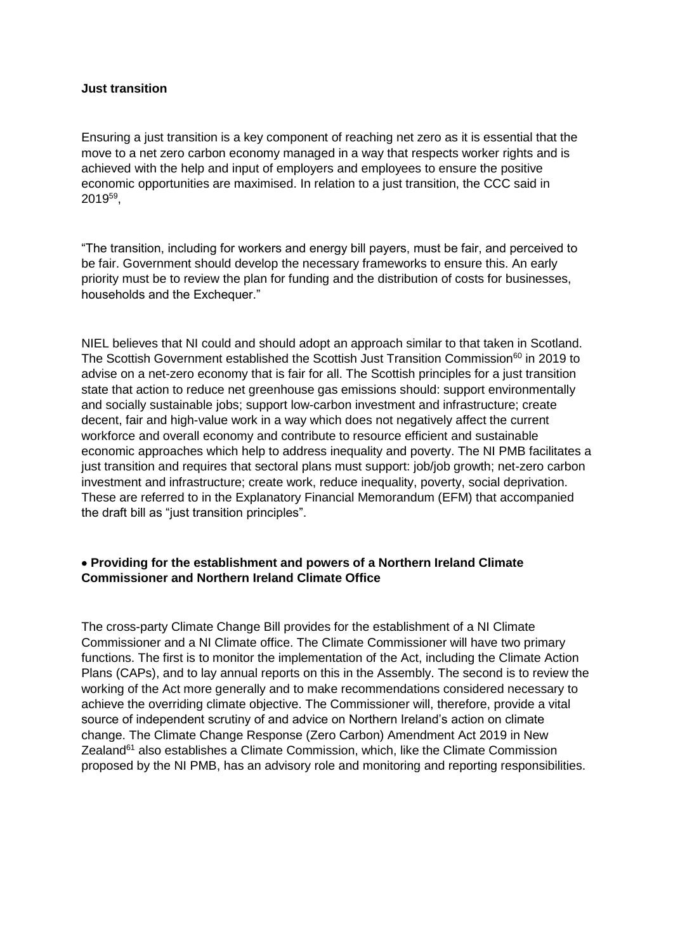#### **Just transition**

Ensuring a just transition is a key component of reaching net zero as it is essential that the move to a net zero carbon economy managed in a way that respects worker rights and is achieved with the help and input of employers and employees to ensure the positive economic opportunities are maximised. In relation to a just transition, the CCC said in  $2019^{59}$ ,

"The transition, including for workers and energy bill payers, must be fair, and perceived to be fair. Government should develop the necessary frameworks to ensure this. An early priority must be to review the plan for funding and the distribution of costs for businesses, households and the Exchequer."

NIEL believes that NI could and should adopt an approach similar to that taken in Scotland. The Scottish Government established the Scottish Just Transition Commission<sup>60</sup> in 2019 to advise on a net-zero economy that is fair for all. The Scottish principles for a just transition state that action to reduce net greenhouse gas emissions should: support environmentally and socially sustainable jobs; support low-carbon investment and infrastructure; create decent, fair and high-value work in a way which does not negatively affect the current workforce and overall economy and contribute to resource efficient and sustainable economic approaches which help to address inequality and poverty. The NI PMB facilitates a just transition and requires that sectoral plans must support: job/job growth; net-zero carbon investment and infrastructure; create work, reduce inequality, poverty, social deprivation. These are referred to in the Explanatory Financial Memorandum (EFM) that accompanied the draft bill as "just transition principles".

# **Providing for the establishment and powers of a Northern Ireland Climate Commissioner and Northern Ireland Climate Office**

The cross-party Climate Change Bill provides for the establishment of a NI Climate Commissioner and a NI Climate office. The Climate Commissioner will have two primary functions. The first is to monitor the implementation of the Act, including the Climate Action Plans (CAPs), and to lay annual reports on this in the Assembly. The second is to review the working of the Act more generally and to make recommendations considered necessary to achieve the overriding climate objective. The Commissioner will, therefore, provide a vital source of independent scrutiny of and advice on Northern Ireland's action on climate change. The Climate Change Response (Zero Carbon) Amendment Act 2019 in New Zealand<sup>61</sup> also establishes a Climate Commission, which, like the Climate Commission proposed by the NI PMB, has an advisory role and monitoring and reporting responsibilities.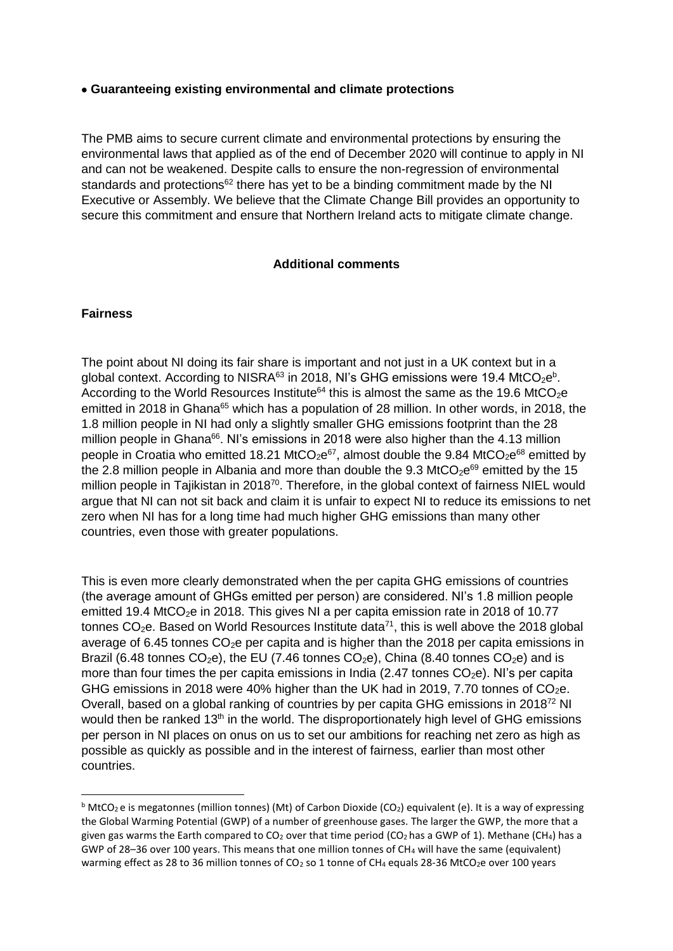#### **Guaranteeing existing environmental and climate protections**

The PMB aims to secure current climate and environmental protections by ensuring the environmental laws that applied as of the end of December 2020 will continue to apply in NI and can not be weakened. Despite calls to ensure the non-regression of environmental standards and protections<sup>62</sup> there has yet to be a binding commitment made by the NI Executive or Assembly. We believe that the Climate Change Bill provides an opportunity to secure this commitment and ensure that Northern Ireland acts to mitigate climate change.

# **Additional comments**

# **Fairness**

 $\overline{\phantom{a}}$ 

The point about NI doing its fair share is important and not just in a UK context but in a global context. According to NISRA<sup>63</sup> in 2018, NI's GHG emissions were 19.4 MtCO<sub>2</sub>e<sup>b</sup>. According to the World Resources Institute<sup>64</sup> this is almost the same as the 19.6 MtCO<sub>2</sub>e emitted in 2018 in Ghana<sup>65</sup> which has a population of 28 million. In other words, in 2018, the 1.8 million people in NI had only a slightly smaller GHG emissions footprint than the 28 million people in Ghana<sup>66</sup>. Ni's emissions in 2018 were also higher than the 4.13 million people in Croatia who emitted 18.21 MtCO<sub>2</sub>e<sup>67</sup>, almost double the 9.84 MtCO<sub>2</sub>e<sup>68</sup> emitted by the 2.8 million people in Albania and more than double the 9.3 MtCO<sub>2</sub>e<sup>69</sup> emitted by the 15 million people in Tajikistan in 2018<sup>70</sup>. Therefore, in the global context of fairness NIEL would argue that NI can not sit back and claim it is unfair to expect NI to reduce its emissions to net zero when NI has for a long time had much higher GHG emissions than many other countries, even those with greater populations.

This is even more clearly demonstrated when the per capita GHG emissions of countries (the average amount of GHGs emitted per person) are considered. NI's 1.8 million people emitted 19.4 MtCO<sub>2</sub>e in 2018. This gives NI a per capita emission rate in 2018 of 10.77 tonnes  $CO<sub>2</sub>e$ . Based on World Resources Institute data<sup>71</sup>, this is well above the 2018 global average of 6.45 tonnes  $CO<sub>2</sub>e$  per capita and is higher than the 2018 per capita emissions in Brazil (6.48 tonnes  $CO<sub>2</sub>e$ ), the EU (7.46 tonnes  $CO<sub>2</sub>e$ ), China (8.40 tonnes  $CO<sub>2</sub>e$ ) and is more than four times the per capita emissions in India (2.47 tonnes  $CO<sub>2</sub>e$ ). NI's per capita GHG emissions in 2018 were 40% higher than the UK had in 2019, 7.70 tonnes of  $CO<sub>2</sub>e$ . Overall, based on a global ranking of countries by per capita GHG emissions in 2018<sup>72</sup> NI would then be ranked  $13<sup>th</sup>$  in the world. The disproportionately high level of GHG emissions per person in NI places on onus on us to set our ambitions for reaching net zero as high as possible as quickly as possible and in the interest of fairness, earlier than most other countries.

 $b$  MtCO<sub>2</sub> e is megatonnes (million tonnes) (Mt) of Carbon Dioxide (CO<sub>2</sub>) equivalent (e). It is a way of expressing the Global Warming Potential (GWP) of a number of greenhouse gases. The larger the GWP, the more that a given gas warms the Earth compared to  $CO<sub>2</sub>$  over that time period (CO<sub>2</sub> has a GWP of 1). Methane (CH<sub>4</sub>) has a GWP of 28–36 over 100 years. This means that one million tonnes of CH<sup>4</sup> will have the same (equivalent) warming effect as 28 to 36 million tonnes of CO<sub>2</sub> so 1 tonne of CH<sub>4</sub> equals 28-36 MtCO<sub>2</sub>e over 100 years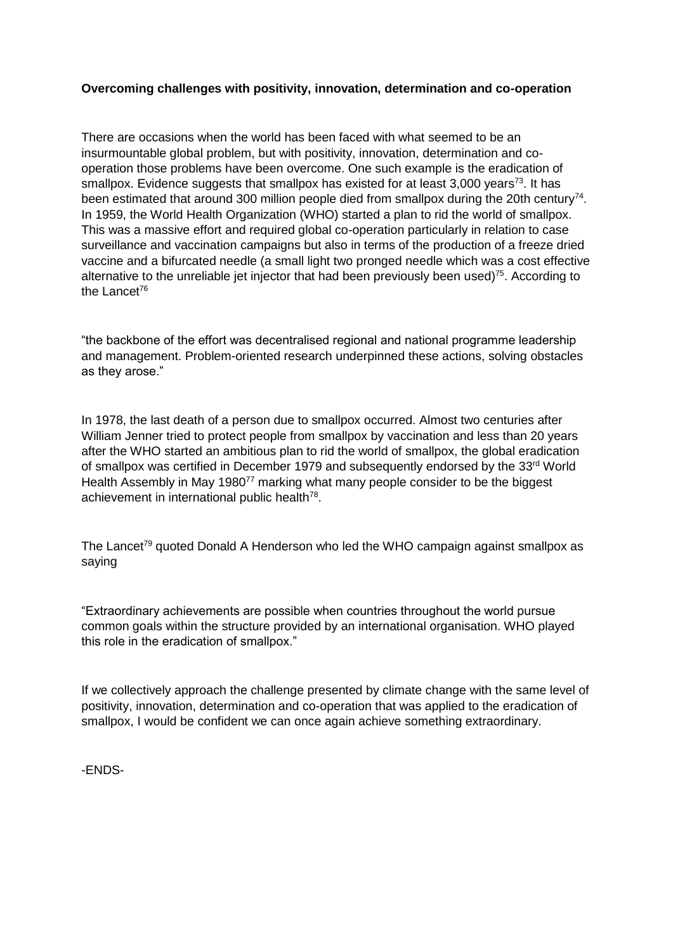# **Overcoming challenges with positivity, innovation, determination and co-operation**

There are occasions when the world has been faced with what seemed to be an insurmountable global problem, but with positivity, innovation, determination and cooperation those problems have been overcome. One such example is the eradication of smallpox. Evidence suggests that smallpox has existed for at least  $3,000$  years<sup>73</sup>. It has been estimated that around 300 million people died from smallpox during the 20th century<sup>74</sup>. In 1959, the World Health Organization (WHO) started a plan to rid the world of smallpox. This was a massive effort and required global co-operation particularly in relation to case surveillance and vaccination campaigns but also in terms of the production of a freeze dried vaccine and a bifurcated needle (a small light two pronged needle which was a cost effective alternative to the unreliable jet injector that had been previously been used)<sup>75</sup>. According to the Lancet<sup>76</sup>

"the backbone of the effort was decentralised regional and national programme leadership and management. Problem-oriented research underpinned these actions, solving obstacles as they arose."

In 1978, the last death of a person due to smallpox occurred. Almost two centuries after William Jenner tried to protect people from smallpox by vaccination and less than 20 years after the WHO started an ambitious plan to rid the world of smallpox, the global eradication of smallpox was certified in December 1979 and subsequently endorsed by the 33rd World Health Assembly in May 1980<sup>77</sup> marking what many people consider to be the biggest achievement in international public health<sup>78</sup>.

The Lancet<sup>79</sup> quoted Donald A Henderson who led the WHO campaign against smallpox as saying

"Extraordinary achievements are possible when countries throughout the world pursue common goals within the structure provided by an international organisation. WHO played this role in the eradication of smallpox."

If we collectively approach the challenge presented by climate change with the same level of positivity, innovation, determination and co-operation that was applied to the eradication of smallpox, I would be confident we can once again achieve something extraordinary.

-ENDS-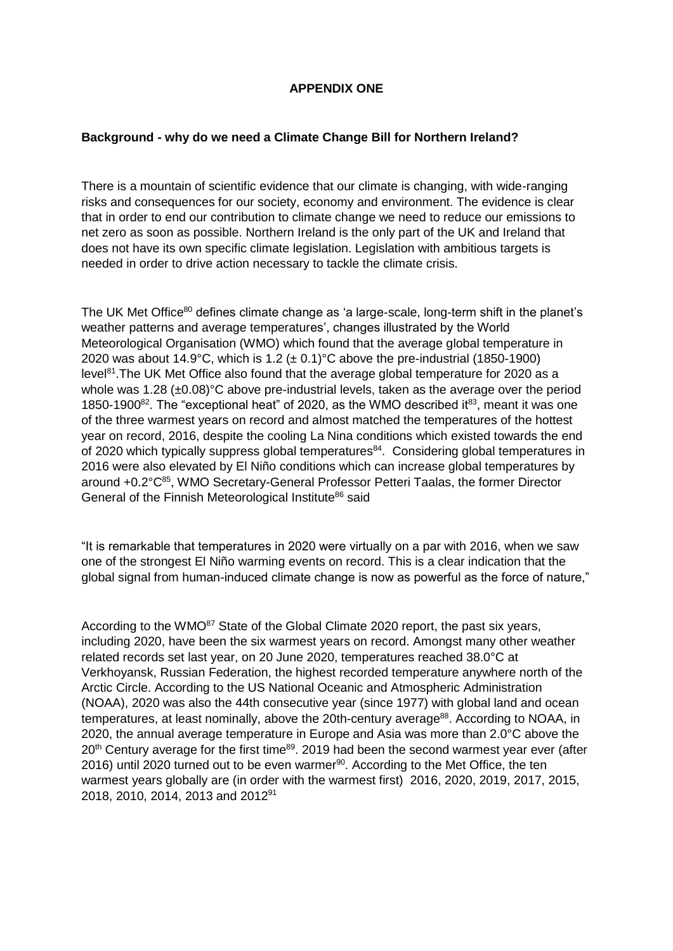# **APPENDIX ONE**

#### **Background - why do we need a Climate Change Bill for Northern Ireland?**

There is a mountain of scientific evidence that our climate is changing, with wide-ranging risks and consequences for our society, economy and environment. The evidence is clear that in order to end our contribution to climate change we need to reduce our emissions to net zero as soon as possible. Northern Ireland is the only part of the UK and Ireland that does not have its own specific climate legislation. Legislation with ambitious targets is needed in order to drive action necessary to tackle the climate crisis.

The UK Met Office<sup>80</sup> defines climate change as 'a large-scale, long-term shift in the planet's weather patterns and average temperatures', changes illustrated by the World Meteorological Organisation (WMO) which found that the average global temperature in 2020 was about 14.9°C, which is 1.2 ( $\pm$  0.1)°C above the pre-industrial (1850-1900) level<sup>81</sup>. The UK Met Office also found that the average global temperature for 2020 as a whole was 1.28 (±0.08)°C above pre-industrial levels, taken as the average over the period 1850-1900<sup>82</sup>. The "exceptional heat" of 2020, as the WMO described it<sup>83</sup>, meant it was one of the three warmest years on record and almost matched the temperatures of the hottest year on record, 2016, despite the cooling La Nina conditions which existed towards the end of 2020 which typically suppress global temperatures<sup>84</sup>. Considering global temperatures in 2016 were also elevated by El Niño conditions which can increase global temperatures by around +0.2°C<sup>85</sup>, WMO Secretary-General Professor Petteri Taalas, the former Director General of the Finnish Meteorological Institute<sup>86</sup> said

"It is remarkable that temperatures in 2020 were virtually on a par with 2016, when we saw one of the strongest El Niño warming events on record. This is a clear indication that the global signal from human-induced climate change is now as powerful as the force of nature,"

According to the WMO<sup>87</sup> State of the Global Climate 2020 report, the past six years, including 2020, have been the six warmest years on record. Amongst many other weather related records set last year, on 20 June 2020, temperatures reached 38.0°C at Verkhoyansk, Russian Federation, the highest recorded temperature anywhere north of the Arctic Circle. According to the US National Oceanic and Atmospheric Administration (NOAA), 2020 was also the 44th consecutive year (since 1977) with global land and ocean temperatures, at least nominally, above the 20th-century average<sup>88</sup>. According to NOAA, in 2020, the annual average temperature in Europe and Asia was more than 2.0°C above the 20<sup>th</sup> Century average for the first time<sup>89</sup>. 2019 had been the second warmest year ever (after 2016) until 2020 turned out to be even warmer $90$ . According to the Met Office, the ten warmest years globally are (in order with the warmest first) 2016, 2020, 2019, 2017, 2015, 2018, 2010, 2014, 2013 and 2012<sup>91</sup>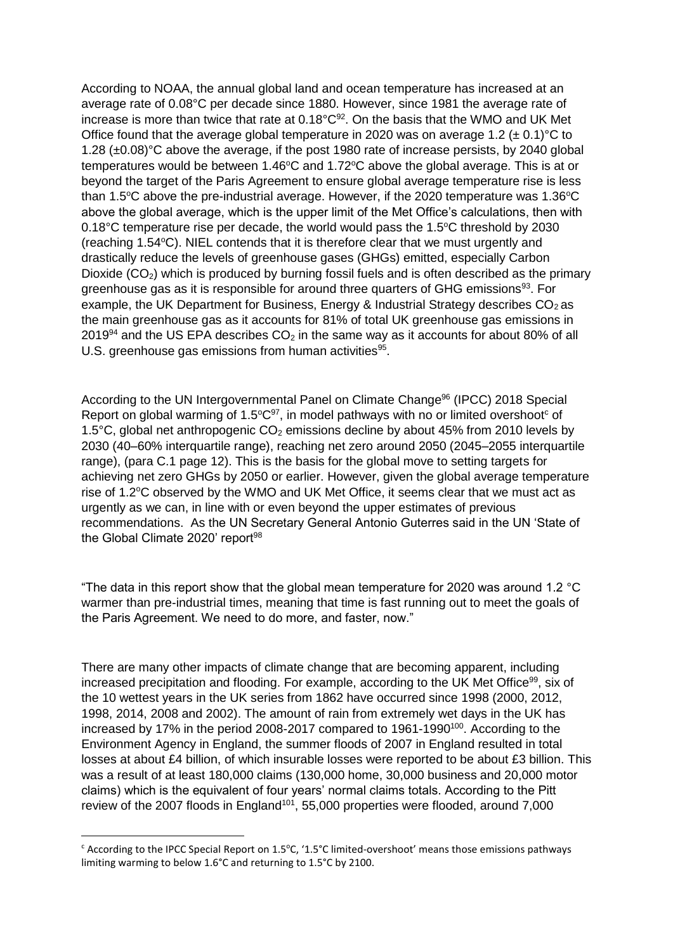According to NOAA, the annual global land and ocean temperature has increased at an average rate of 0.08°C per decade since 1880. However, since 1981 the average rate of increase is more than twice that rate at 0.18°C<sup>92</sup>. On the basis that the WMO and UK Met Office found that the average global temperature in 2020 was on average 1.2 ( $\pm$  0.1)<sup>o</sup>C to 1.28 (±0.08)°C above the average, if the post 1980 rate of increase persists, by 2040 global temperatures would be between 1.46 $\degree$ C and 1.72 $\degree$ C above the global average. This is at or beyond the target of the Paris Agreement to ensure global average temperature rise is less than 1.5 $\degree$ C above the pre-industrial average. However, if the 2020 temperature was 1.36 $\degree$ C above the global average, which is the upper limit of the Met Office's calculations, then with 0.18 $^{\circ}$ C temperature rise per decade, the world would pass the 1.5 $^{\circ}$ C threshold by 2030 (reaching  $1.54^{\circ}$ C). NIEL contends that it is therefore clear that we must urgently and drastically reduce the levels of greenhouse gases (GHGs) emitted, especially Carbon Dioxide  $(CO<sub>2</sub>)$  which is produced by burning fossil fuels and is often described as the primary greenhouse gas as it is responsible for around three quarters of GHG emissions $93$ . For example, the UK Department for Business, Energy & Industrial Strategy describes  $CO<sub>2</sub>$  as the main greenhouse gas as it accounts for 81% of total UK greenhouse gas emissions in  $2019<sup>94</sup>$  and the US EPA describes  $CO<sub>2</sub>$  in the same way as it accounts for about 80% of all U.S. greenhouse gas emissions from human activities<sup>95</sup>.

According to the UN Intergovernmental Panel on Climate Change<sup>96</sup> (IPCC) 2018 Special Report on global warming of 1.5 $^{\circ}$ C<sup>97</sup>, in model pathways with no or limited overshoot<sup>c</sup> of 1.5 $^{\circ}$ C, global net anthropogenic CO<sub>2</sub> emissions decline by about 45% from 2010 levels by 2030 (40–60% interquartile range), reaching net zero around 2050 (2045–2055 interquartile range), (para C.1 page 12). This is the basis for the global move to setting targets for achieving net zero GHGs by 2050 or earlier. However, given the global average temperature rise of 1.2<sup>o</sup>C observed by the WMO and UK Met Office, it seems clear that we must act as urgently as we can, in line with or even beyond the upper estimates of previous recommendations. As the UN Secretary General Antonio Guterres said in the UN 'State of the Global Climate 2020' report<sup>98</sup>

"The data in this report show that the global mean temperature for 2020 was around 1.2 °C warmer than pre-industrial times, meaning that time is fast running out to meet the goals of the Paris Agreement. We need to do more, and faster, now."

There are many other impacts of climate change that are becoming apparent, including increased precipitation and flooding. For example, according to the UK Met Office<sup>99</sup>, six of the 10 wettest years in the UK series from 1862 have occurred since 1998 (2000, 2012, 1998, 2014, 2008 and 2002). The amount of rain from extremely wet days in the UK has increased by 17% in the period 2008-2017 compared to 1961-1990<sup>100</sup>. According to the Environment Agency in England, the summer floods of 2007 in England resulted in total losses at about £4 billion, of which insurable losses were reported to be about £3 billion. This was a result of at least 180,000 claims (130,000 home, 30,000 business and 20,000 motor claims) which is the equivalent of four years' normal claims totals. According to the Pitt review of the 2007 floods in England<sup>101</sup>, 55,000 properties were flooded, around 7,000

**.** 

 $c$  According to the IPCC Special Report on 1.5 $\degree$ C, '1.5 $\degree$ C limited-overshoot' means those emissions pathways limiting warming to below 1.6°C and returning to 1.5°C by 2100.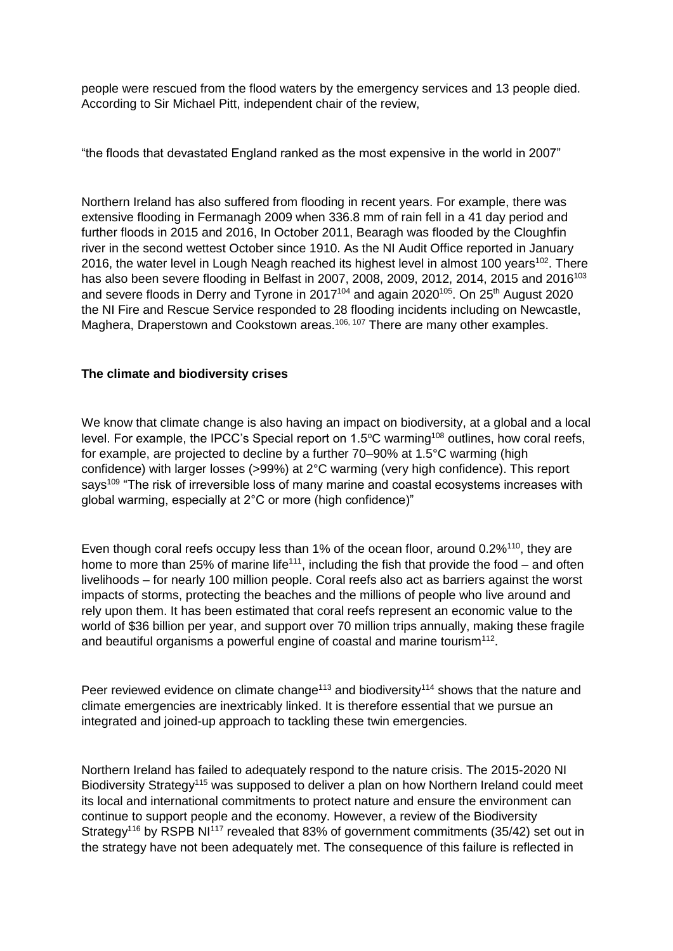people were rescued from the flood waters by the emergency services and 13 people died. According to Sir Michael Pitt, independent chair of the review,

"the floods that devastated England ranked as the most expensive in the world in 2007"

Northern Ireland has also suffered from flooding in recent years. For example, there was extensive flooding in Fermanagh 2009 when 336.8 mm of rain fell in a 41 day period and further floods in 2015 and 2016, In October 2011, Bearagh was flooded by the Cloughfin river in the second wettest October since 1910. As the NI Audit Office reported in January 2016, the water level in Lough Neagh reached its highest level in almost 100 years<sup>102</sup>. There has also been severe flooding in Belfast in 2007, 2008, 2009, 2012, 2014, 2015 and 2016<sup>103</sup> and severe floods in Derry and Tyrone in 2017<sup>104</sup> and again 2020<sup>105</sup>. On 25<sup>th</sup> August 2020 the NI Fire and Rescue Service responded to 28 flooding incidents including on Newcastle, Maghera, Draperstown and Cookstown areas.<sup>106, 107</sup> There are many other examples.

# **The climate and biodiversity crises**

We know that climate change is also having an impact on biodiversity, at a global and a local level. For example, the IPCC's Special report on  $1.5^{\circ}$ C warming<sup>108</sup> outlines, how coral reefs, for example, are projected to decline by a further 70–90% at 1.5°C warming (high confidence) with larger losses (>99%) at 2°C warming (very high confidence). This report says<sup>109</sup> "The risk of irreversible loss of many marine and coastal ecosystems increases with global warming, especially at 2°C or more (high confidence)"

Even though coral reefs occupy less than 1% of the ocean floor, around 0.2%<sup>110</sup>, they are home to more than 25% of marine life<sup>111</sup>, including the fish that provide the food – and often livelihoods – for nearly 100 million people. Coral reefs also act as barriers against the worst impacts of storms, protecting the beaches and the millions of people who live around and rely upon them. It has been estimated that coral reefs represent an economic value to the world of \$36 billion per year, and support over 70 million trips annually, making these fragile and beautiful organisms a powerful engine of coastal and marine tourism $112$ .

Peer reviewed evidence on climate change<sup>113</sup> and biodiversity<sup>114</sup> shows that the nature and climate emergencies are inextricably linked. It is therefore essential that we pursue an integrated and joined-up approach to tackling these twin emergencies.

Northern Ireland has failed to adequately respond to the nature crisis. The 2015-2020 NI Biodiversity Strategy<sup>115</sup> was supposed to deliver a plan on how Northern Ireland could meet its local and international commitments to protect nature and ensure the environment can continue to support people and the economy. However, a review of the Biodiversity Strategy<sup>116</sup> by RSPB NI<sup>117</sup> revealed that 83% of government commitments (35/42) set out in the strategy have not been adequately met. The consequence of this failure is reflected in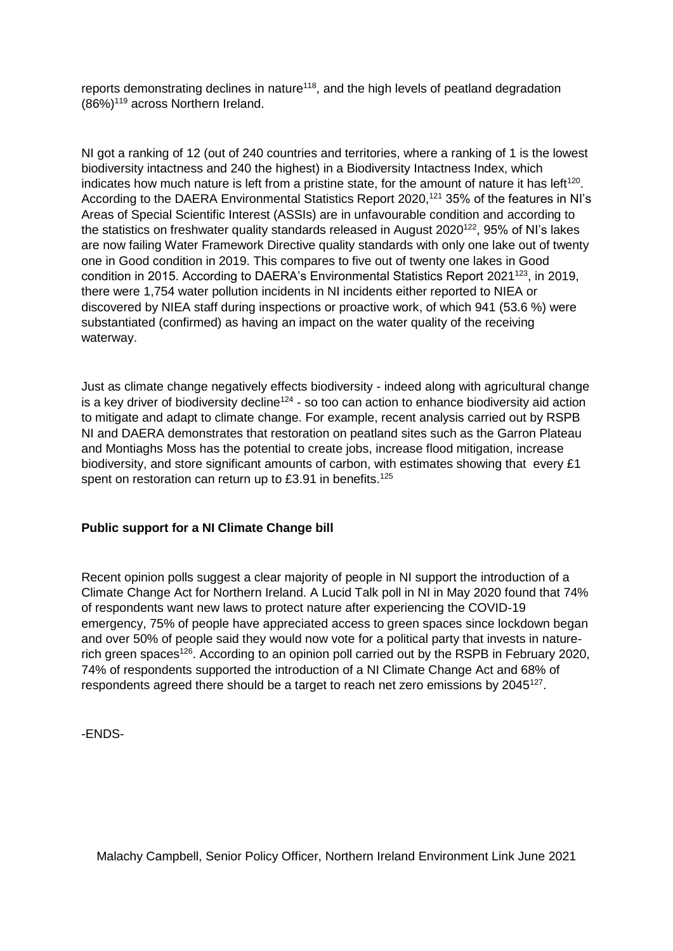reports demonstrating declines in nature<sup>118</sup>, and the high levels of peatland degradation (86%)<sup>119</sup> across Northern Ireland.

NI got a ranking of 12 (out of 240 countries and territories, where a ranking of 1 is the lowest biodiversity intactness and 240 the highest) in a Biodiversity Intactness Index, which indicates how much nature is left from a pristine state, for the amount of nature it has left<sup>120</sup>. According to the DAERA Environmental Statistics Report 2020.<sup>121</sup> 35% of the features in NI's Areas of Special Scientific Interest (ASSIs) are in unfavourable condition and according to the statistics on freshwater quality standards released in August 2020<sup>122</sup>, 95% of NI's lakes are now failing Water Framework Directive quality standards with only one lake out of twenty one in Good condition in 2019. This compares to five out of twenty one lakes in Good condition in 2015. According to DAERA's Environmental Statistics Report 2021<sup>123</sup>, in 2019, there were 1,754 water pollution incidents in NI incidents either reported to NIEA or discovered by NIEA staff during inspections or proactive work, of which 941 (53.6 %) were substantiated (confirmed) as having an impact on the water quality of the receiving waterway.

Just as climate change negatively effects biodiversity - indeed along with agricultural change is a key driver of biodiversity decline<sup>124</sup> - so too can action to enhance biodiversity aid action to mitigate and adapt to climate change. For example, recent analysis carried out by RSPB NI and DAERA demonstrates that restoration on peatland sites such as the Garron Plateau and Montiaghs Moss has the potential to create jobs, increase flood mitigation, increase biodiversity, and store significant amounts of carbon, with estimates showing that every £1 spent on restoration can return up to £3.91 in benefits.<sup>125</sup>

# **Public support for a NI Climate Change bill**

Recent opinion polls suggest a clear majority of people in NI support the introduction of a Climate Change Act for Northern Ireland. A Lucid Talk poll in NI in May 2020 found that 74% of respondents want new laws to protect nature after experiencing the COVID-19 emergency, 75% of people have appreciated access to green spaces since lockdown began and over 50% of people said they would now vote for a political party that invests in naturerich green spaces<sup>126</sup>. According to an opinion poll carried out by the RSPB in February 2020, 74% of respondents supported the introduction of a NI Climate Change Act and 68% of respondents agreed there should be a target to reach net zero emissions by 2045<sup>127</sup>.

-ENDS-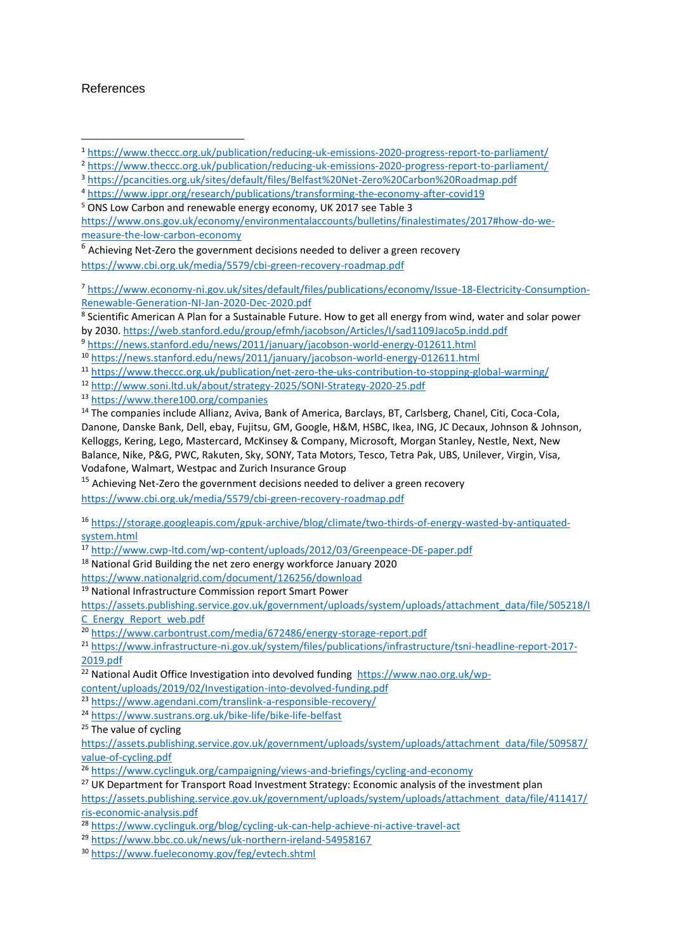### References

**.** 

[https://www.ons.gov.uk/economy/environmentalaccounts/bulletins/finalestimates/2017#how-do-we](https://www.ons.gov.uk/economy/environmentalaccounts/bulletins/finalestimates/2017#how-do-we-measure-the-low-carbon-economy)[measure-the-low-carbon-economy](https://www.ons.gov.uk/economy/environmentalaccounts/bulletins/finalestimates/2017#how-do-we-measure-the-low-carbon-economy)

<sup>6</sup> Achieving Net-Zero the government decisions needed to deliver a green recovery

<https://www.cbi.org.uk/media/5579/cbi-green-recovery-roadmap.pdf>

<sup>7</sup> [https://www.economy-ni.gov.uk/sites/default/files/publications/economy/Issue-18-Electricity-Consumption-](https://www.economy-ni.gov.uk/sites/default/files/publications/economy/Issue-18-Electricity-Consumption-Renewable-Generation-NI-Jan-2020-Dec-2020.pdf)[Renewable-Generation-NI-Jan-2020-Dec-2020.pdf](https://www.economy-ni.gov.uk/sites/default/files/publications/economy/Issue-18-Electricity-Consumption-Renewable-Generation-NI-Jan-2020-Dec-2020.pdf)

<sup>8</sup> Scientific American A Plan for a Sustainable Future. How to get all energy from wind, water and solar power by 2030.<https://web.stanford.edu/group/efmh/jacobson/Articles/I/sad1109Jaco5p.indd.pdf>

<sup>9</sup> <https://news.stanford.edu/news/2011/january/jacobson-world-energy-012611.html>

<sup>10</sup> <https://news.stanford.edu/news/2011/january/jacobson-world-energy-012611.html>

<sup>11</sup> <https://www.theccc.org.uk/publication/net-zero-the-uks-contribution-to-stopping-global-warming/>

<sup>12</sup> <http://www.soni.ltd.uk/about/strategy-2025/SONI-Strategy-2020-25.pdf>

<sup>13</sup> <https://www.there100.org/companies>

<sup>14</sup> The companies include Allianz, Aviva, Bank of America, Barclays, BT, Carlsberg, Chanel, Citi, Coca-Cola, Danone, Danske Bank, Dell, ebay, Fujitsu, GM, Google, H&M, HSBC, Ikea, ING, JC Decaux, Johnson & Johnson, Kelloggs, Kering, Lego, Mastercard, McKinsey & Company, Microsoft, Morgan Stanley, Nestle, Next, New Balance, Nike, P&G, PWC, Rakuten, Sky, SONY, Tata Motors, Tesco, Tetra Pak, UBS, Unilever, Virgin, Visa, Vodafone, Walmart, Westpac and Zurich Insurance Group

 $15$  Achieving Net-Zero the government decisions needed to deliver a green recovery

<https://www.cbi.org.uk/media/5579/cbi-green-recovery-roadmap.pdf>

<sup>16</sup> [https://storage.googleapis.com/gpuk-archive/blog/climate/two-thirds-of-energy-wasted-by-antiquated](https://storage.googleapis.com/gpuk-archive/blog/climate/two-thirds-of-energy-wasted-by-antiquated-system.html)[system.html](https://storage.googleapis.com/gpuk-archive/blog/climate/two-thirds-of-energy-wasted-by-antiquated-system.html)

<sup>17</sup> <http://www.cwp-ltd.com/wp-content/uploads/2012/03/Greenpeace-DE-paper.pdf>

<sup>18</sup> National Grid Building the net zero energy workforce January 2020

<https://www.nationalgrid.com/document/126256/download>

<sup>19</sup> National Infrastructure Commission report Smart Power

[https://assets.publishing.service.gov.uk/government/uploads/system/uploads/attachment\\_data/file/505218/I](https://assets.publishing.service.gov.uk/government/uploads/system/uploads/attachment_data/file/505218/IC_Energy_Report_web.pdf) [C\\_Energy\\_Report\\_web.pdf](https://assets.publishing.service.gov.uk/government/uploads/system/uploads/attachment_data/file/505218/IC_Energy_Report_web.pdf)

<sup>20</sup> <https://www.carbontrust.com/media/672486/energy-storage-report.pdf>

<sup>21</sup> [https://www.infrastructure-ni.gov.uk/system/files/publications/infrastructure/tsni-headline-report-2017-](https://www.infrastructure-ni.gov.uk/system/files/publications/infrastructure/tsni-headline-report-2017-2019.pdf) [2019.pdf](https://www.infrastructure-ni.gov.uk/system/files/publications/infrastructure/tsni-headline-report-2017-2019.pdf)

<sup>22</sup> National Audit Office Investigation into devolved funding [https://www.nao.org.uk/wp-](https://www.nao.org.uk/wp-content/uploads/2019/02/Investigation-into-devolved-funding.pdf)

[content/uploads/2019/02/Investigation-into-devolved-funding.pdf](https://www.nao.org.uk/wp-content/uploads/2019/02/Investigation-into-devolved-funding.pdf)

<sup>23</sup> <https://www.agendani.com/translink-a-responsible-recovery/>

<sup>24</sup> <https://www.sustrans.org.uk/bike-life/bike-life-belfast>

 $25$  The value of cycling

[https://assets.publishing.service.gov.uk/government/uploads/system/uploads/attachment\\_data/file/509587/](https://assets.publishing.service.gov.uk/government/uploads/system/uploads/attachment_data/file/509587/value-of-cycling.pdf) [value-of-cycling.pdf](https://assets.publishing.service.gov.uk/government/uploads/system/uploads/attachment_data/file/509587/value-of-cycling.pdf)

<sup>26</sup> <https://www.cyclinguk.org/campaigning/views-and-briefings/cycling-and-economy>

<sup>27</sup> UK Department for Transport Road Investment Strategy: Economic analysis of the investment plan [https://assets.publishing.service.gov.uk/government/uploads/system/uploads/attachment\\_data/file/411417/](https://assets.publishing.service.gov.uk/government/uploads/system/uploads/attachment_data/file/411417/ris-economic-analysis.pdf) [ris-economic-analysis.pdf](https://assets.publishing.service.gov.uk/government/uploads/system/uploads/attachment_data/file/411417/ris-economic-analysis.pdf)

<sup>28</sup> <https://www.cyclinguk.org/blog/cycling-uk-can-help-achieve-ni-active-travel-act>

<sup>29</sup> <https://www.bbc.co.uk/news/uk-northern-ireland-54958167>

<sup>30</sup> <https://www.fueleconomy.gov/feg/evtech.shtml>

<sup>1</sup> <https://www.theccc.org.uk/publication/reducing-uk-emissions-2020-progress-report-to-parliament/>

<sup>2</sup> <https://www.theccc.org.uk/publication/reducing-uk-emissions-2020-progress-report-to-parliament/>

<sup>3</sup> <https://pcancities.org.uk/sites/default/files/Belfast%20Net-Zero%20Carbon%20Roadmap.pdf>

<sup>4</sup> <https://www.ippr.org/research/publications/transforming-the-economy-after-covid19>

<sup>5</sup> ONS Low Carbon and renewable energy economy, UK 2017 see Table 3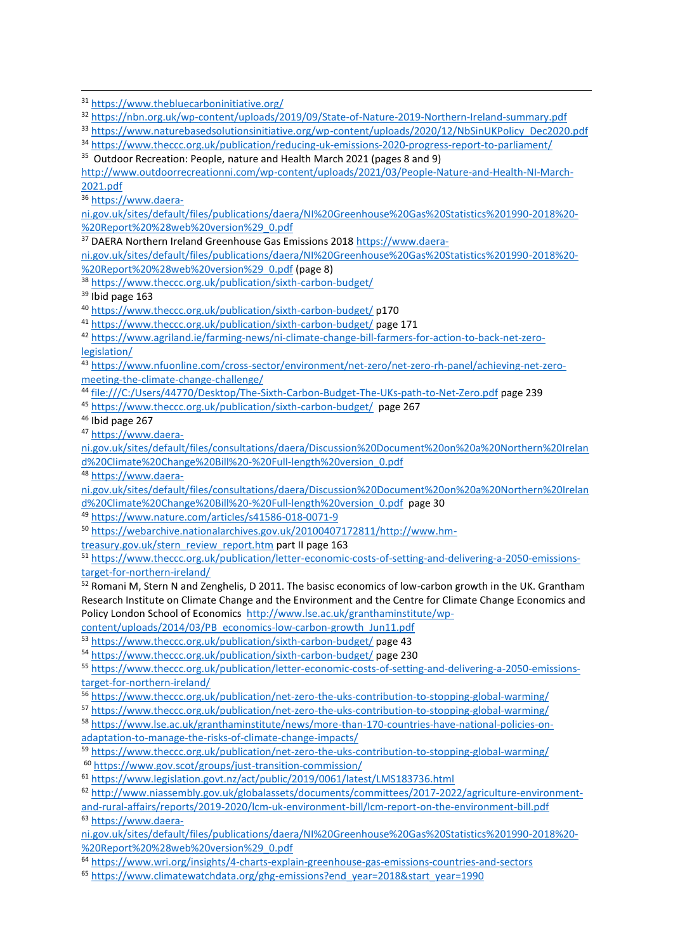<sup>35</sup> Outdoor Recreation: People, nature and Health March 2021 (pages 8 and 9)

[http://www.outdoorrecreationni.com/wp-content/uploads/2021/03/People-Nature-and-Health-NI-March-](http://www.outdoorrecreationni.com/wp-content/uploads/2021/03/People-Nature-and-Health-NI-March-2021.pdf)[2021.pdf](http://www.outdoorrecreationni.com/wp-content/uploads/2021/03/People-Nature-and-Health-NI-March-2021.pdf)

<sup>36</sup> [https://www.daera-](https://www.daera-ni.gov.uk/sites/default/files/publications/daera/NI%20Greenhouse%20Gas%20Statistics%201990-2018%20-%20Report%20%28web%20version%29_0.pdf)

1

[ni.gov.uk/sites/default/files/publications/daera/NI%20Greenhouse%20Gas%20Statistics%201990-2018%20-](https://www.daera-ni.gov.uk/sites/default/files/publications/daera/NI%20Greenhouse%20Gas%20Statistics%201990-2018%20-%20Report%20%28web%20version%29_0.pdf) [%20Report%20%28web%20version%29\\_0.pdf](https://www.daera-ni.gov.uk/sites/default/files/publications/daera/NI%20Greenhouse%20Gas%20Statistics%201990-2018%20-%20Report%20%28web%20version%29_0.pdf)

<sup>37</sup> DAERA Northern Ireland Greenhouse Gas Emissions 2018 [https://www.daera-](https://www.daera-ni.gov.uk/sites/default/files/publications/daera/NI%20Greenhouse%20Gas%20Statistics%201990-2018%20-%20Report%20%28web%20version%29_0.pdf)

[ni.gov.uk/sites/default/files/publications/daera/NI%20Greenhouse%20Gas%20Statistics%201990-2018%20-](https://www.daera-ni.gov.uk/sites/default/files/publications/daera/NI%20Greenhouse%20Gas%20Statistics%201990-2018%20-%20Report%20%28web%20version%29_0.pdf) [%20Report%20%28web%20version%29\\_0.pdf](https://www.daera-ni.gov.uk/sites/default/files/publications/daera/NI%20Greenhouse%20Gas%20Statistics%201990-2018%20-%20Report%20%28web%20version%29_0.pdf) (page 8)

- <sup>38</sup> <https://www.theccc.org.uk/publication/sixth-carbon-budget/>
- <sup>39</sup> Ibid page 163
- <sup>40</sup> <https://www.theccc.org.uk/publication/sixth-carbon-budget/> p170
- <sup>41</sup> <https://www.theccc.org.uk/publication/sixth-carbon-budget/> page 171

<sup>42</sup> [https://www.agriland.ie/farming-news/ni-climate-change-bill-farmers-for-action-to-back-net-zero](https://www.agriland.ie/farming-news/ni-climate-change-bill-farmers-for-action-to-back-net-zero-legislation/)[legislation/](https://www.agriland.ie/farming-news/ni-climate-change-bill-farmers-for-action-to-back-net-zero-legislation/)

<sup>43</sup> [https://www.nfuonline.com/cross-sector/environment/net-zero/net-zero-rh-panel/achieving-net-zero](https://www.nfuonline.com/cross-sector/environment/net-zero/net-zero-rh-panel/achieving-net-zero-meeting-the-climate-change-challenge/)[meeting-the-climate-change-challenge/](https://www.nfuonline.com/cross-sector/environment/net-zero/net-zero-rh-panel/achieving-net-zero-meeting-the-climate-change-challenge/)

<sup>44</sup> <file:///C:/Users/44770/Desktop/The-Sixth-Carbon-Budget-The-UKs-path-to-Net-Zero.pdf> page 239

<sup>45</sup> <https://www.theccc.org.uk/publication/sixth-carbon-budget/> page 267

<sup>46</sup> Ibid page 267

<sup>47</sup> [https://www.daera-](https://www.daera-ni.gov.uk/sites/default/files/consultations/daera/Discussion%20Document%20on%20a%20Northern%20Ireland%20Climate%20Change%20Bill%20-%20Full-length%20version_0.pdf)

[ni.gov.uk/sites/default/files/consultations/daera/Discussion%20Document%20on%20a%20Northern%20Irelan](https://www.daera-ni.gov.uk/sites/default/files/consultations/daera/Discussion%20Document%20on%20a%20Northern%20Ireland%20Climate%20Change%20Bill%20-%20Full-length%20version_0.pdf) [d%20Climate%20Change%20Bill%20-%20Full-length%20version\\_0.pdf](https://www.daera-ni.gov.uk/sites/default/files/consultations/daera/Discussion%20Document%20on%20a%20Northern%20Ireland%20Climate%20Change%20Bill%20-%20Full-length%20version_0.pdf)

<sup>48</sup> [https://www.daera-](https://www.daera-ni.gov.uk/sites/default/files/consultations/daera/Discussion%20Document%20on%20a%20Northern%20Ireland%20Climate%20Change%20Bill%20-%20Full-length%20version_0.pdf)

[ni.gov.uk/sites/default/files/consultations/daera/Discussion%20Document%20on%20a%20Northern%20Irelan](https://www.daera-ni.gov.uk/sites/default/files/consultations/daera/Discussion%20Document%20on%20a%20Northern%20Ireland%20Climate%20Change%20Bill%20-%20Full-length%20version_0.pdf) [d%20Climate%20Change%20Bill%20-%20Full-length%20version\\_0.pdf](https://www.daera-ni.gov.uk/sites/default/files/consultations/daera/Discussion%20Document%20on%20a%20Northern%20Ireland%20Climate%20Change%20Bill%20-%20Full-length%20version_0.pdf) page 30

<sup>49</sup> <https://www.nature.com/articles/s41586-018-0071-9>

<sup>50</sup> [https://webarchive.nationalarchives.gov.uk/20100407172811/http://www.hm-](https://webarchive.nationalarchives.gov.uk/20100407172811/http:/www.hm-treasury.gov.uk/stern_review_report.htm)

[treasury.gov.uk/stern\\_review\\_report.htm](https://webarchive.nationalarchives.gov.uk/20100407172811/http:/www.hm-treasury.gov.uk/stern_review_report.htm) part II page 163

<sup>51</sup> [https://www.theccc.org.uk/publication/letter-economic-costs-of-setting-and-delivering-a-2050-emissions](https://www.theccc.org.uk/publication/letter-economic-costs-of-setting-and-delivering-a-2050-emissions-target-for-northern-ireland/)[target-for-northern-ireland/](https://www.theccc.org.uk/publication/letter-economic-costs-of-setting-and-delivering-a-2050-emissions-target-for-northern-ireland/)

52 Romani M, Stern N and Zenghelis, D 2011. The basisc economics of low-carbon growth in the UK. Grantham Research Institute on Climate Change and the Environment and the Centre for Climate Change Economics and Policy London School of Economics [http://www.lse.ac.uk/granthaminstitute/wp-](http://www.lse.ac.uk/granthaminstitute/wp-content/uploads/2014/03/PB_economics-low-carbon-growth_Jun11.pdf)

[content/uploads/2014/03/PB\\_economics-low-carbon-growth\\_Jun11.pdf](http://www.lse.ac.uk/granthaminstitute/wp-content/uploads/2014/03/PB_economics-low-carbon-growth_Jun11.pdf)

<sup>53</sup> <https://www.theccc.org.uk/publication/sixth-carbon-budget/> page 43

<sup>54</sup> <https://www.theccc.org.uk/publication/sixth-carbon-budget/> page 230

<sup>55</sup> [https://www.theccc.org.uk/publication/letter-economic-costs-of-setting-and-delivering-a-2050-emissions](https://www.theccc.org.uk/publication/letter-economic-costs-of-setting-and-delivering-a-2050-emissions-target-for-northern-ireland/)[target-for-northern-ireland/](https://www.theccc.org.uk/publication/letter-economic-costs-of-setting-and-delivering-a-2050-emissions-target-for-northern-ireland/)

<sup>56</sup> <https://www.theccc.org.uk/publication/net-zero-the-uks-contribution-to-stopping-global-warming/>

<sup>57</sup> <https://www.theccc.org.uk/publication/net-zero-the-uks-contribution-to-stopping-global-warming/>

<sup>58</sup> [https://www.lse.ac.uk/granthaminstitute/news/more-than-170-countries-have-national-policies-on](https://www.lse.ac.uk/granthaminstitute/news/more-than-170-countries-have-national-policies-on-adaptation-to-manage-the-risks-of-climate-change-impacts/)[adaptation-to-manage-the-risks-of-climate-change-impacts/](https://www.lse.ac.uk/granthaminstitute/news/more-than-170-countries-have-national-policies-on-adaptation-to-manage-the-risks-of-climate-change-impacts/)

<sup>59</sup> <https://www.theccc.org.uk/publication/net-zero-the-uks-contribution-to-stopping-global-warming/>

<sup>60</sup> <https://www.gov.scot/groups/just-transition-commission/>

<sup>61</sup> <https://www.legislation.govt.nz/act/public/2019/0061/latest/LMS183736.html>

<sup>62</sup> [http://www.niassembly.gov.uk/globalassets/documents/committees/2017-2022/agriculture-environment](http://www.niassembly.gov.uk/globalassets/documents/committees/2017-2022/agriculture-environment-and-rural-affairs/reports/2019-2020/lcm-uk-environment-bill/lcm-report-on-the-environment-bill.pdf)[and-rural-affairs/reports/2019-2020/lcm-uk-environment-bill/lcm-report-on-the-environment-bill.pdf](http://www.niassembly.gov.uk/globalassets/documents/committees/2017-2022/agriculture-environment-and-rural-affairs/reports/2019-2020/lcm-uk-environment-bill/lcm-report-on-the-environment-bill.pdf) <sup>63</sup> [https://www.daera-](https://www.daera-ni.gov.uk/sites/default/files/publications/daera/NI%20Greenhouse%20Gas%20Statistics%201990-2018%20-%20Report%20%28web%20version%29_0.pdf)

[ni.gov.uk/sites/default/files/publications/daera/NI%20Greenhouse%20Gas%20Statistics%201990-2018%20-](https://www.daera-ni.gov.uk/sites/default/files/publications/daera/NI%20Greenhouse%20Gas%20Statistics%201990-2018%20-%20Report%20%28web%20version%29_0.pdf) [%20Report%20%28web%20version%29\\_0.pdf](https://www.daera-ni.gov.uk/sites/default/files/publications/daera/NI%20Greenhouse%20Gas%20Statistics%201990-2018%20-%20Report%20%28web%20version%29_0.pdf)

<sup>64</sup> <https://www.wri.org/insights/4-charts-explain-greenhouse-gas-emissions-countries-and-sectors>

<sup>65</sup> [https://www.climatewatchdata.org/ghg-emissions?end\\_year=2018&start\\_year=1990](https://www.climatewatchdata.org/ghg-emissions?end_year=2018&start_year=1990)

<sup>31</sup> <https://www.thebluecarboninitiative.org/>

<sup>32</sup> <https://nbn.org.uk/wp-content/uploads/2019/09/State-of-Nature-2019-Northern-Ireland-summary.pdf>

<sup>33</sup> [https://www.naturebasedsolutionsinitiative.org/wp-content/uploads/2020/12/NbSinUKPolicy\\_Dec2020.pdf](https://www.naturebasedsolutionsinitiative.org/wp-content/uploads/2020/12/NbSinUKPolicy_Dec2020.pdf)

<sup>34</sup> <https://www.theccc.org.uk/publication/reducing-uk-emissions-2020-progress-report-to-parliament/>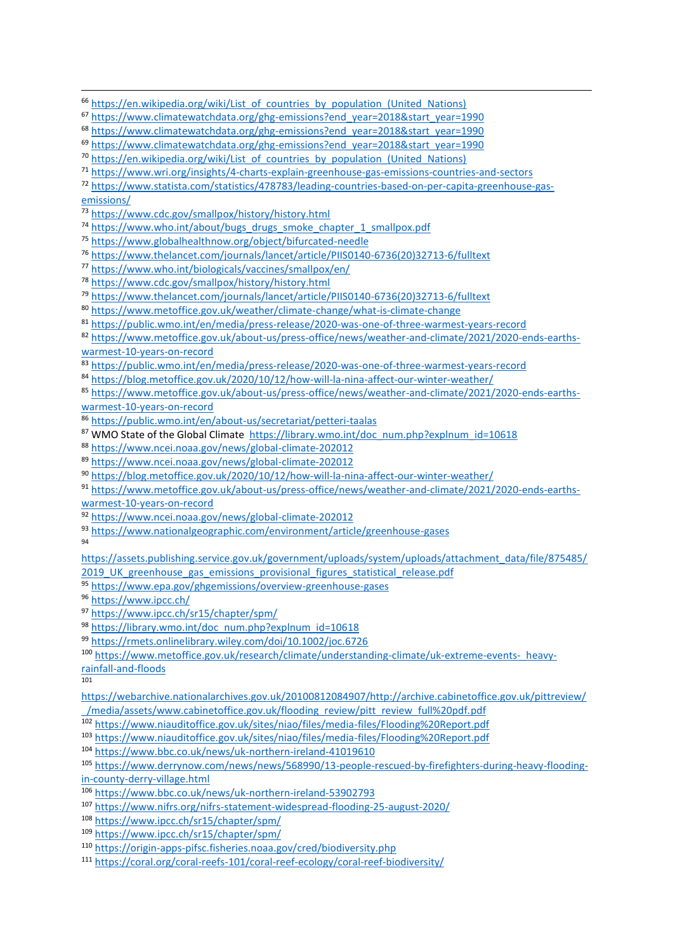<sup>66</sup> [https://en.wikipedia.org/wiki/List\\_of\\_countries\\_by\\_population\\_\(United\\_Nations\)](https://en.wikipedia.org/wiki/List_of_countries_by_population_(United_Nations))

- [https://www.climatewatchdata.org/ghg-emissions?end\\_year=2018&start\\_year=1990](https://www.climatewatchdata.org/ghg-emissions?end_year=2018&start_year=1990)
- [https://www.climatewatchdata.org/ghg-emissions?end\\_year=2018&start\\_year=1990](https://www.climatewatchdata.org/ghg-emissions?end_year=2018&start_year=1990)
- <sup>70</sup> [https://en.wikipedia.org/wiki/List\\_of\\_countries\\_by\\_population\\_\(United\\_Nations\)](https://en.wikipedia.org/wiki/List_of_countries_by_population_(United_Nations))
- <https://www.wri.org/insights/4-charts-explain-greenhouse-gas-emissions-countries-and-sectors>

 [https://www.statista.com/statistics/478783/leading-countries-based-on-per-capita-greenhouse-gas](https://www.statista.com/statistics/478783/leading-countries-based-on-per-capita-greenhouse-gas-emissions/)[emissions/](https://www.statista.com/statistics/478783/leading-countries-based-on-per-capita-greenhouse-gas-emissions/)

- <https://www.cdc.gov/smallpox/history/history.html>
- [https://www.who.int/about/bugs\\_drugs\\_smoke\\_chapter\\_1\\_smallpox.pdf](https://www.who.int/about/bugs_drugs_smoke_chapter_1_smallpox.pdf)
- <https://www.globalhealthnow.org/object/bifurcated-needle>
- [https://www.thelancet.com/journals/lancet/article/PIIS0140-6736\(20\)32713-6/fulltext](https://www.thelancet.com/journals/lancet/article/PIIS0140-6736(20)32713-6/fulltext)
- <https://www.who.int/biologicals/vaccines/smallpox/en/>
- <https://www.cdc.gov/smallpox/history/history.html>
- [https://www.thelancet.com/journals/lancet/article/PIIS0140-6736\(20\)32713-6/fulltext](https://www.thelancet.com/journals/lancet/article/PIIS0140-6736(20)32713-6/fulltext)
- <https://www.metoffice.gov.uk/weather/climate-change/what-is-climate-change>
- <https://public.wmo.int/en/media/press-release/2020-was-one-of-three-warmest-years-record>

 [https://www.metoffice.gov.uk/about-us/press-office/news/weather-and-climate/2021/2020-ends-earths](https://www.metoffice.gov.uk/about-us/press-office/news/weather-and-climate/2021/2020-ends-earths-warmest-10-years-on-record)[warmest-10-years-on-record](https://www.metoffice.gov.uk/about-us/press-office/news/weather-and-climate/2021/2020-ends-earths-warmest-10-years-on-record)

<https://public.wmo.int/en/media/press-release/2020-was-one-of-three-warmest-years-record>

- <https://blog.metoffice.gov.uk/2020/10/12/how-will-la-nina-affect-our-winter-weather/>
- [https://www.metoffice.gov.uk/about-us/press-office/news/weather-and-climate/2021/2020-ends-earths](https://www.metoffice.gov.uk/about-us/press-office/news/weather-and-climate/2021/2020-ends-earths-warmest-10-years-on-record)[warmest-10-years-on-record](https://www.metoffice.gov.uk/about-us/press-office/news/weather-and-climate/2021/2020-ends-earths-warmest-10-years-on-record)
- <https://public.wmo.int/en/about-us/secretariat/petteri-taalas>
- 87 WMO State of the Global Climate [https://library.wmo.int/doc\\_num.php?explnum\\_id=10618](https://library.wmo.int/doc_num.php?explnum_id=10618)
- <https://www.ncei.noaa.gov/news/global-climate-202012>
- <https://www.ncei.noaa.gov/news/global-climate-202012>
- <https://blog.metoffice.gov.uk/2020/10/12/how-will-la-nina-affect-our-winter-weather/>

 [https://www.metoffice.gov.uk/about-us/press-office/news/weather-and-climate/2021/2020-ends-earths](https://www.metoffice.gov.uk/about-us/press-office/news/weather-and-climate/2021/2020-ends-earths-warmest-10-years-on-record)[warmest-10-years-on-record](https://www.metoffice.gov.uk/about-us/press-office/news/weather-and-climate/2021/2020-ends-earths-warmest-10-years-on-record)

- <https://www.ncei.noaa.gov/news/global-climate-202012>
- <https://www.nationalgeographic.com/environment/article/greenhouse-gases>
- 

[https://assets.publishing.service.gov.uk/government/uploads/system/uploads/attachment\\_data/file/875485/](https://assets.publishing.service.gov.uk/government/uploads/system/uploads/attachment_data/file/875485/2019_UK_greenhouse_gas_emissions_provisional_figures_statistical_release.pdf) 2019 UK greenhouse gas emissions provisional figures statistical release.pdf

- <https://www.epa.gov/ghgemissions/overview-greenhouse-gases>
- <https://www.ipcc.ch/>
- <https://www.ipcc.ch/sr15/chapter/spm/>
- [https://library.wmo.int/doc\\_num.php?explnum\\_id=10618](https://library.wmo.int/doc_num.php?explnum_id=10618)
- <https://rmets.onlinelibrary.wiley.com/doi/10.1002/joc.6726>

[https://www.metoffice.gov.uk/research/climate/understanding-climate/uk-extreme-events-\\_heavy](https://www.metoffice.gov.uk/research/climate/understanding-climate/uk-extreme-events-_heavy-rainfall-and-floods)[rainfall-and-floods](https://www.metoffice.gov.uk/research/climate/understanding-climate/uk-extreme-events-_heavy-rainfall-and-floods)

- [https://webarchive.nationalarchives.gov.uk/20100812084907/http://archive.cabinetoffice.gov.uk/pittreview/](https://webarchive.nationalarchives.gov.uk/20100812084907/http:/archive.cabinetoffice.gov.uk/pittreview/_/media/assets/www.cabinetoffice.gov.uk/flooding_review/pitt_review_full%20pdf.pdf) [\\_/media/assets/www.cabinetoffice.gov.uk/flooding\\_review/pitt\\_review\\_full%20pdf.pdf](https://webarchive.nationalarchives.gov.uk/20100812084907/http:/archive.cabinetoffice.gov.uk/pittreview/_/media/assets/www.cabinetoffice.gov.uk/flooding_review/pitt_review_full%20pdf.pdf)
- <https://www.niauditoffice.gov.uk/sites/niao/files/media-files/Flooding%20Report.pdf>
- <https://www.niauditoffice.gov.uk/sites/niao/files/media-files/Flooding%20Report.pdf>
- <https://www.bbc.co.uk/news/uk-northern-ireland-41019610>
- [https://www.derrynow.com/news/news/568990/13-people-rescued-by-firefighters-during-heavy-flooding](https://www.derrynow.com/news/news/568990/13-people-rescued-by-firefighters-during-heavy-flooding-in-county-derry-village.html)[in-county-derry-village.html](https://www.derrynow.com/news/news/568990/13-people-rescued-by-firefighters-during-heavy-flooding-in-county-derry-village.html)
- <https://www.bbc.co.uk/news/uk-northern-ireland-53902793>
- <https://www.nifrs.org/nifrs-statement-widespread-flooding-25-august-2020/>
- <https://www.ipcc.ch/sr15/chapter/spm/>
- <https://www.ipcc.ch/sr15/chapter/spm/>
- <https://origin-apps-pifsc.fisheries.noaa.gov/cred/biodiversity.php>
- <https://coral.org/coral-reefs-101/coral-reef-ecology/coral-reef-biodiversity/>

[https://www.climatewatchdata.org/ghg-emissions?end\\_year=2018&start\\_year=1990](https://www.climatewatchdata.org/ghg-emissions?end_year=2018&start_year=1990)